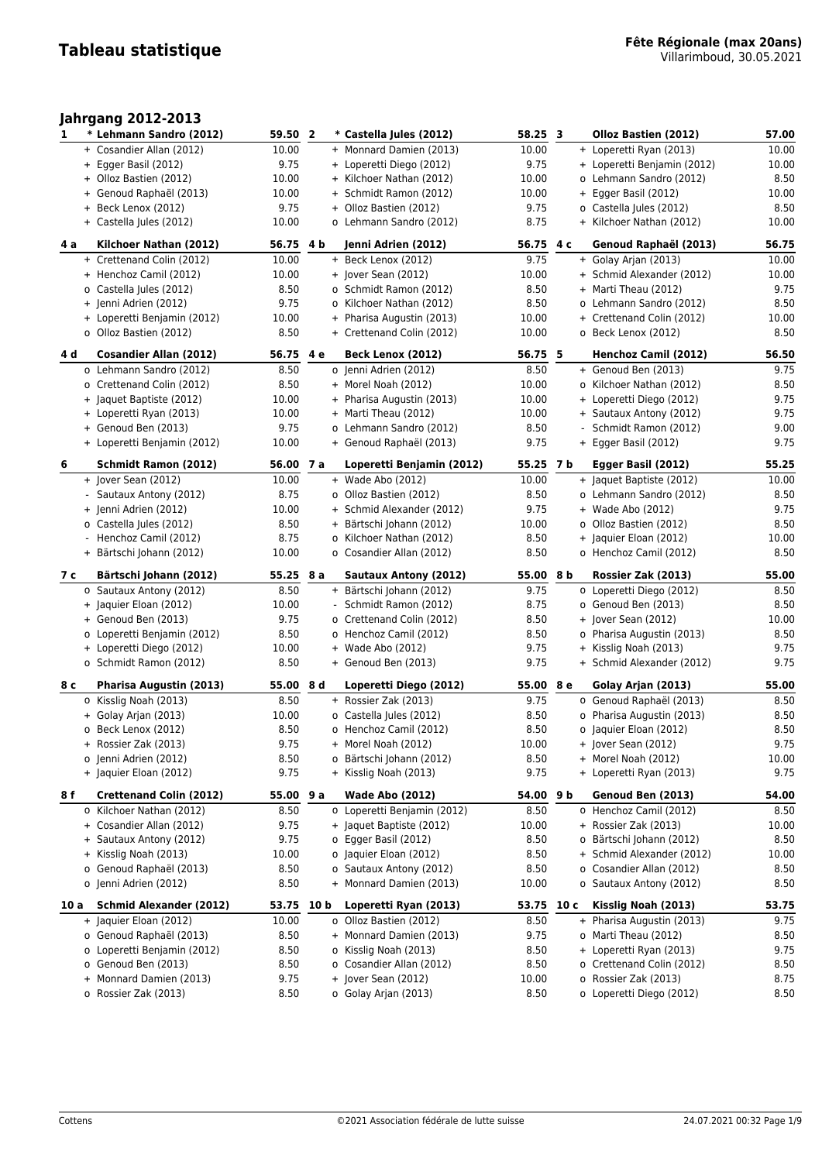## **Jahrgang 2012-2013**

| 1    | * Lehmann Sandro (2012)        | 59.50         | $\overline{2}$ | * Castella Jules (2012)     | 58.25 3      |  | Olloz Bastien (2012)        | 57.00        |
|------|--------------------------------|---------------|----------------|-----------------------------|--------------|--|-----------------------------|--------------|
|      | + Cosandier Allan (2012)       | 10.00         |                | + Monnard Damien (2013)     | 10.00        |  | + Loperetti Ryan (2013)     | 10.00        |
|      | + Egger Basil (2012)           | 9.75          |                | + Loperetti Diego (2012)    | 9.75         |  | + Loperetti Benjamin (2012) | 10.00        |
|      | + Olloz Bastien (2012)         | 10.00         |                | + Kilchoer Nathan (2012)    | 10.00        |  | o Lehmann Sandro (2012)     | 8.50         |
|      | + Genoud Raphaël (2013)        | 10.00         |                | + Schmidt Ramon (2012)      | 10.00        |  | + Egger Basil (2012)        | 10.00        |
|      | + Beck Lenox (2012)            | 9.75          |                | + Olloz Bastien (2012)      | 9.75         |  | o Castella Jules (2012)     | 8.50         |
|      | + Castella Jules (2012)        | 10.00         |                | o Lehmann Sandro (2012)     | 8.75         |  | + Kilchoer Nathan (2012)    | 10.00        |
|      |                                |               |                |                             |              |  |                             |              |
| 4 a  | Kilchoer Nathan (2012)         | 56.75 4 b     |                | Jenni Adrien (2012)         | 56.75 4 c    |  | Genoud Raphaël (2013)       | 56.75        |
|      | + Crettenand Colin (2012)      | 10.00         |                | + Beck Lenox (2012)         | 9.75         |  | + Golay Arjan (2013)        | 10.00        |
|      | + Henchoz Camil (2012)         | 10.00         |                | + Jover Sean (2012)         | 10.00        |  | + Schmid Alexander (2012)   | 10.00        |
|      | o Castella Jules (2012)        | 8.50          |                | o Schmidt Ramon (2012)      | 8.50         |  | + Marti Theau (2012)        | 9.75         |
|      | + Jenni Adrien (2012)          | 9.75          |                | o Kilchoer Nathan (2012)    | 8.50         |  | o Lehmann Sandro (2012)     | 8.50         |
|      | + Loperetti Benjamin (2012)    | 10.00         |                | + Pharisa Augustin (2013)   | 10.00        |  | + Crettenand Colin (2012)   | 10.00        |
|      | o Olloz Bastien (2012)         | 8.50          |                | + Crettenand Colin (2012)   | 10.00        |  | o Beck Lenox (2012)         | 8.50         |
|      |                                |               |                |                             |              |  |                             |              |
| 4 d  | <b>Cosandier Allan (2012)</b>  | 56.75 4 e     |                | Beck Lenox (2012)           | 56.75 5      |  | Henchoz Camil (2012)        | 56.50        |
|      | o Lehmann Sandro (2012)        | 8.50          |                | 0 Jenni Adrien (2012)       | 8.50         |  | + Genoud Ben (2013)         | 9.75         |
|      | o Crettenand Colin (2012)      | 8.50          |                | + Morel Noah (2012)         | 10.00        |  | o Kilchoer Nathan (2012)    | 8.50         |
|      | + Jaquet Baptiste (2012)       | 10.00         |                | + Pharisa Augustin (2013)   | 10.00        |  | + Loperetti Diego (2012)    | 9.75         |
|      | + Loperetti Ryan (2013)        | 10.00         |                | + Marti Theau (2012)        | 10.00        |  | + Sautaux Antony (2012)     | 9.75         |
|      | + Genoud Ben (2013)            | 9.75          |                | o Lehmann Sandro (2012)     | 8.50         |  | Schmidt Ramon (2012)        | 9.00         |
|      | + Loperetti Benjamin (2012)    | 10.00         |                | + Genoud Raphaël (2013)     | 9.75         |  | + Egger Basil (2012)        | 9.75         |
| 6    | <b>Schmidt Ramon (2012)</b>    | 56.00         | 7 a            | Loperetti Benjamin (2012)   | 55.25 7 b    |  |                             | 55.25        |
|      |                                | 10.00         |                |                             | 10.00        |  | Egger Basil (2012)          |              |
|      | + Jover Sean (2012)            |               |                | + Wade Abo (2012)           |              |  | + Jaquet Baptiste (2012)    | 10.00        |
|      | - Sautaux Antony (2012)        | 8.75          |                | o Olloz Bastien (2012)      | 8.50         |  | o Lehmann Sandro (2012)     | 8.50         |
|      | + Jenni Adrien (2012)          | 10.00         |                | + Schmid Alexander (2012)   | 9.75         |  | + Wade Abo (2012)           | 9.75         |
|      | o Castella Jules (2012)        | 8.50          |                | + Bärtschi Johann (2012)    | 10.00        |  | o Olloz Bastien (2012)      | 8.50         |
|      | - Henchoz Camil (2012)         | 8.75          |                | o Kilchoer Nathan (2012)    | 8.50         |  | + Jaquier Eloan (2012)      | 10.00        |
|      | + Bärtschi Johann (2012)       | 10.00         |                | o Cosandier Allan (2012)    | 8.50         |  | o Henchoz Camil (2012)      | 8.50         |
|      |                                |               |                |                             |              |  |                             |              |
| 7 с  | Bärtschi Johann (2012)         | 55.25 8 a     |                | Sautaux Antony (2012)       | 55.00 8 b    |  | Rossier Zak (2013)          | 55.00        |
|      | o Sautaux Antony (2012)        |               |                | + Bärtschi Johann (2012)    |              |  | o Loperetti Diego (2012)    |              |
|      | + Jaquier Eloan (2012)         | 8.50<br>10.00 |                | - Schmidt Ramon (2012)      | 9.75<br>8.75 |  | o Genoud Ben (2013)         | 8.50<br>8.50 |
|      |                                |               |                |                             |              |  |                             |              |
|      | + Genoud Ben (2013)            | 9.75          |                | o Crettenand Colin (2012)   | 8.50         |  | + Jover Sean (2012)         | 10.00        |
|      | o Loperetti Benjamin (2012)    | 8.50          |                | o Henchoz Camil (2012)      | 8.50         |  | o Pharisa Augustin (2013)   | 8.50         |
|      | + Loperetti Diego (2012)       | 10.00         |                | + Wade Abo (2012)           | 9.75         |  | + Kisslig Noah (2013)       | 9.75         |
|      | o Schmidt Ramon (2012)         | 8.50          |                | + Genoud Ben (2013)         | 9.75         |  | + Schmid Alexander (2012)   | 9.75         |
| 8 с  | <b>Pharisa Augustin (2013)</b> | 55.00 8 d     |                | Loperetti Diego (2012)      | 55.00 8 e    |  | Golay Arjan (2013)          | 55.00        |
|      | o Kisslig Noah (2013)          | 8.50          |                | + Rossier Zak (2013)        | 9.75         |  | o Genoud Raphaël (2013)     | 8.50         |
|      | + Golay Arjan (2013)           | 10.00         |                | o Castella Jules (2012)     | 8.50         |  | o Pharisa Augustin (2013)   | 8.50         |
|      | o Beck Lenox (2012)            | 8.50          |                | o Henchoz Camil (2012)      | 8.50         |  | o Jaquier Eloan (2012)      | 8.50         |
|      | + Rossier Zak (2013)           | 9.75          |                | + Morel Noah (2012)         | 10.00        |  | + Jover Sean (2012)         | 9.75         |
|      | o Jenni Adrien (2012)          | 8.50          |                | o Bärtschi Johann (2012)    | 8.50         |  | + Morel Noah (2012)         | 10.00        |
|      | + Jaquier Eloan (2012)         | 9.75          |                | + Kisslig Noah (2013)       | 9.75         |  | + Loperetti Ryan (2013)     | 9.75         |
|      |                                |               |                |                             |              |  |                             |              |
| 8 f  | <b>Crettenand Colin (2012)</b> | 55.00 9 a     |                | <b>Wade Abo (2012)</b>      | 54.00 9 b    |  | Genoud Ben (2013)           | 54.00        |
|      | o Kilchoer Nathan (2012)       | 8.50          |                | o Loperetti Benjamin (2012) | 8.50         |  | o Henchoz Camil (2012)      | 8.50         |
|      | + Cosandier Allan (2012)       | 9.75          |                | + Jaquet Baptiste (2012)    | 10.00        |  | + Rossier Zak (2013)        | 10.00        |
|      | + Sautaux Antony (2012)        | 9.75          |                | o Egger Basil (2012)        | 8.50         |  | o Bärtschi Johann (2012)    | 8.50         |
|      | + Kisslig Noah (2013)          | 10.00         |                | o Jaquier Eloan (2012)      | 8.50         |  | + Schmid Alexander (2012)   | 10.00        |
|      | o Genoud Raphaël (2013)        | 8.50          |                | o Sautaux Antony (2012)     | 8.50         |  | o Cosandier Allan (2012)    | 8.50         |
|      | o Jenni Adrien (2012)          | 8.50          |                | + Monnard Damien (2013)     | 10.00        |  | o Sautaux Antony (2012)     | 8.50         |
| 10 a | <b>Schmid Alexander (2012)</b> | 53.75 10 b    |                | Loperetti Ryan (2013)       | 53.75 10 c   |  | Kisslig Noah (2013)         | 53.75        |
|      | + Jaquier Eloan (2012)         | 10.00         |                | o Olloz Bastien (2012)      | 8.50         |  | + Pharisa Augustin (2013)   | 9.75         |
|      | o Genoud Raphaël (2013)        | 8.50          |                | + Monnard Damien (2013)     | 9.75         |  | o Marti Theau (2012)        | 8.50         |
|      | o Loperetti Benjamin (2012)    | 8.50          |                | o Kisslig Noah (2013)       | 8.50         |  | + Loperetti Ryan (2013)     | 9.75         |
|      | o Genoud Ben (2013)            | 8.50          |                | o Cosandier Allan (2012)    | 8.50         |  | o Crettenand Colin (2012)   | 8.50         |
|      | + Monnard Damien (2013)        | 9.75          |                | + Jover Sean (2012)         | 10.00        |  | o Rossier Zak (2013)        | 8.75         |
|      | o Rossier Zak (2013)           | 8.50          |                | o Golay Arjan (2013)        | 8.50         |  | o Loperetti Diego (2012)    | 8.50         |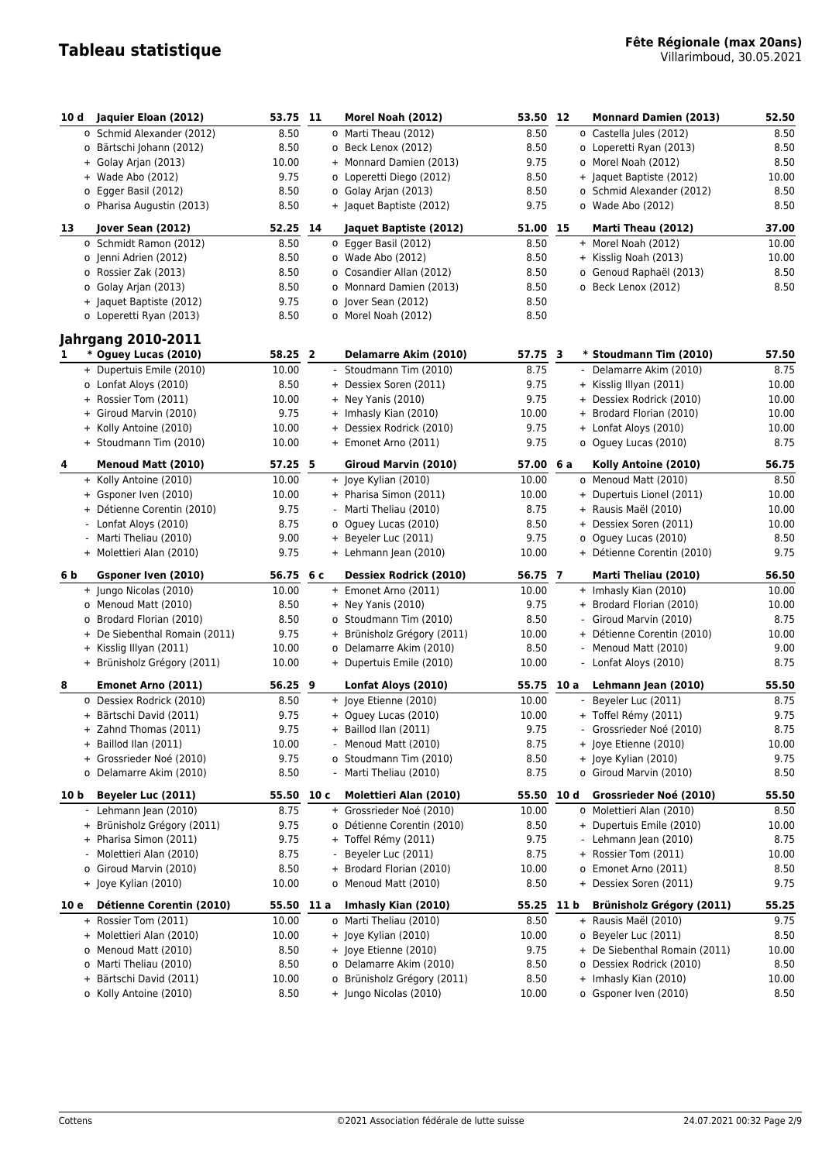| 10 d | Jaquier Eloan (2012)                           | 53.75 11        |      | Morel Noah (2012)                            | 53.50 12       |      | <b>Monnard Damien (2013)</b>              | 52.50         |
|------|------------------------------------------------|-----------------|------|----------------------------------------------|----------------|------|-------------------------------------------|---------------|
|      | o Schmid Alexander (2012)                      | 8.50            |      | o Marti Theau (2012)                         | 8.50           |      | o Castella Jules (2012)                   | 8.50          |
|      | o Bärtschi Johann (2012)                       | 8.50            |      | o Beck Lenox (2012)                          | 8.50           |      | o Loperetti Ryan (2013)                   | 8.50          |
|      | + Golay Arjan (2013)                           | 10.00           |      | + Monnard Damien (2013)                      | 9.75           |      | o Morel Noah (2012)                       | 8.50          |
|      | + Wade Abo (2012)                              | 9.75            |      | o Loperetti Diego (2012)                     | 8.50           |      | + Jaquet Baptiste (2012)                  | 10.00         |
|      | o Egger Basil (2012)                           | 8.50            |      | o Golay Arjan (2013)                         | 8.50           |      | o Schmid Alexander (2012)                 | 8.50          |
|      | o Pharisa Augustin (2013)                      | 8.50            |      | + Jaquet Baptiste (2012)                     | 9.75           |      | o Wade Abo (2012)                         | 8.50          |
|      |                                                |                 |      |                                              |                |      |                                           |               |
| 13   | Jover Sean (2012)                              | 52.25           | 14   | Jaquet Baptiste (2012)                       | 51.00 15       |      | Marti Theau (2012)                        | 37.00         |
|      | o Schmidt Ramon (2012)                         | 8.50            |      | o Egger Basil (2012)                         | 8.50           |      | + Morel Noah (2012)                       | 10.00         |
|      | o Jenni Adrien (2012)                          | 8.50            |      | o Wade Abo (2012)                            | 8.50           |      | + Kisslig Noah (2013)                     | 10.00         |
|      | o Rossier Zak (2013)                           | 8.50            |      | o Cosandier Allan (2012)                     | 8.50           |      | o Genoud Raphaël (2013)                   | 8.50          |
|      | o Golay Arjan (2013)                           | 8.50            |      | o Monnard Damien (2013)                      | 8.50           |      | o Beck Lenox (2012)                       | 8.50          |
|      | + Jaquet Baptiste (2012)                       | 9.75            |      | o Jover Sean (2012)                          | 8.50           |      |                                           |               |
|      | o Loperetti Ryan (2013)                        | 8.50            |      | o Morel Noah (2012)                          | 8.50           |      |                                           |               |
|      | <b>Jahrgang 2010-2011</b>                      |                 |      |                                              |                |      |                                           |               |
| 1    | * Oguey Lucas (2010)                           | 58.25 2         |      | Delamarre Akim (2010)                        | 57.75 3        |      | * Stoudmann Tim (2010)                    | 57.50         |
|      | + Dupertuis Emile (2010)                       | 10.00           |      | - Stoudmann Tim (2010)                       | 8.75           |      | - Delamarre Akim (2010)                   | 8.75          |
|      | o Lonfat Aloys (2010)                          | 8.50            |      | + Dessiex Soren (2011)                       | 9.75           |      | + Kisslig Illyan (2011)                   | 10.00         |
|      | + Rossier Tom (2011)                           | 10.00           |      | $+$ Ney Yanis (2010)                         | 9.75           |      | + Dessiex Rodrick (2010)                  | 10.00         |
|      | + Giroud Marvin (2010)                         | 9.75            |      | + Imhasly Kian (2010)                        | 10.00          |      | + Brodard Florian (2010)                  | 10.00         |
|      | + Kolly Antoine (2010)                         | 10.00           |      | + Dessiex Rodrick (2010)                     | 9.75           |      | + Lonfat Aloys (2010)                     | 10.00         |
|      | + Stoudmann Tim (2010)                         | 10.00           |      | + Emonet Arno (2011)                         | 9.75           |      | o Oguey Lucas (2010)                      | 8.75          |
|      |                                                |                 |      |                                              |                |      |                                           |               |
| 4    | Menoud Matt (2010)                             | 57.25 5         |      | Giroud Marvin (2010)                         | 57.00          | 6 a  | Kolly Antoine (2010)                      | 56.75         |
|      | + Kolly Antoine (2010)                         | 10.00           |      | + Joye Kylian (2010)                         | 10.00          |      | o Menoud Matt (2010)                      | 8.50          |
|      | + Gsponer Iven (2010)                          | 10.00           |      | + Pharisa Simon (2011)                       | 10.00          |      | + Dupertuis Lionel (2011)                 | 10.00         |
|      | + Détienne Corentin (2010)                     | 9.75            |      | - Marti Theliau (2010)                       | 8.75           |      | + Rausis Maël (2010)                      | 10.00         |
|      | - Lonfat Aloys (2010)                          | 8.75            |      | o Oguey Lucas (2010)                         | 8.50           |      | + Dessiex Soren (2011)                    | 10.00         |
|      | - Marti Theliau (2010)                         | 9.00            |      | + Beyeler Luc (2011)                         | 9.75           |      | o Oguey Lucas (2010)                      | 8.50          |
|      | + Molettieri Alan (2010)                       | 9.75            |      | + Lehmann Jean (2010)                        | 10.00          |      | + Détienne Corentin (2010)                | 9.75          |
| 6 b  | Gsponer Iven (2010)                            | 56.75 6 c       |      | <b>Dessiex Rodrick (2010)</b>                | 56.75 7        |      | Marti Theliau (2010)                      | 56.50         |
|      | + Jungo Nicolas (2010)                         | 10.00           |      | + Emonet Arno (2011)                         | 10.00          |      | + Imhasly Kian (2010)                     | 10.00         |
|      | o Menoud Matt (2010)                           | 8.50            |      | + Ney Yanis (2010)                           | 9.75           |      | + Brodard Florian (2010)                  | 10.00         |
|      | o Brodard Florian (2010)                       | 8.50            |      | o Stoudmann Tim (2010)                       | 8.50           |      | - Giroud Marvin (2010)                    | 8.75          |
|      | + De Siebenthal Romain (2011)                  | 9.75            |      | + Brünisholz Grégory (2011)                  | 10.00          |      | + Détienne Corentin (2010)                | 10.00         |
|      | + Kisslig Illyan (2011)                        | 10.00           |      | o Delamarre Akim (2010)                      | 8.50           |      | - Menoud Matt (2010)                      | 9.00          |
|      | + Brünisholz Grégory (2011)                    | 10.00           |      | + Dupertuis Emile (2010)                     | 10.00          |      | - Lonfat Aloys (2010)                     | 8.75          |
|      |                                                |                 |      |                                              |                |      |                                           |               |
| 8    | Emonet Arno (2011)<br>o Dessiex Rodrick (2010) | 56.25 9<br>8.50 |      | Lonfat Aloys (2010)<br>+ Joye Etienne (2010) | 55.75<br>10.00 | 10 a | Lehmann Jean (2010)<br>Beyeler Luc (2011) | 55.50<br>8.75 |
|      | + Bärtschi David (2011)                        | 9.75            |      |                                              |                |      | + Toffel Rémy (2011)                      | 9.75          |
|      |                                                |                 |      | + Oguey Lucas (2010)                         | 10.00          |      | - Grossrieder Noé (2010)                  | 8.75          |
|      | Zahnd Thomas (2011)                            | 9.75            |      | + Baillod Ilan (2011)                        | 9.75           |      |                                           |               |
|      | + Baillod Ilan (2011)                          | 10.00           |      | - Menoud Matt (2010)                         | 8.75           |      | + Joye Etienne (2010)                     | 10.00         |
|      | + Grossrieder Noé (2010)                       | 9.75            |      | o Stoudmann Tim (2010)                       | 8.50           |      | + Joye Kylian (2010)                      | 9.75          |
|      | o Delamarre Akim (2010)                        | 8.50            |      | - Marti Theliau (2010)                       | 8.75           |      | o Giroud Marvin (2010)                    | 8.50          |
| 10 b | Beyeler Luc (2011)                             | 55.50           | 10 с | <b>Molettieri Alan (2010)</b>                | 55.50          | 10 d | Grossrieder Noé (2010)                    | 55.50         |
|      | - Lehmann Jean (2010)                          | 8.75            |      | + Grossrieder Noé (2010)                     | 10.00          |      | o Molettieri Alan (2010)                  | 8.50          |
|      | + Brünisholz Grégory (2011)                    | 9.75            |      | o Détienne Corentin (2010)                   | 8.50           |      | + Dupertuis Emile (2010)                  | 10.00         |
|      | + Pharisa Simon (2011)                         | 9.75            |      | + Toffel Rémy (2011)                         | 9.75           |      | Lehmann Jean (2010)                       | 8.75          |
|      | Molettieri Alan (2010)                         | 8.75            |      | Beyeler Luc (2011)                           | 8.75           |      | + Rossier Tom (2011)                      | 10.00         |
|      | o Giroud Marvin (2010)                         | 8.50            |      | + Brodard Florian (2010)                     | 10.00          |      | o Emonet Arno (2011)                      | 8.50          |
|      | + Joye Kylian (2010)                           | 10.00           |      | o Menoud Matt (2010)                         | 8.50           |      | + Dessiex Soren (2011)                    | 9.75          |
| 10 e | Détienne Corentin (2010)                       | 55.50 11 a      |      | Imhasly Kian (2010)                          | 55.25 11 b     |      | <b>Brünisholz Grégory (2011)</b>          | 55.25         |
|      | + Rossier Tom (2011)                           | 10.00           |      | o Marti Theliau (2010)                       | 8.50           |      | + Rausis Maël (2010)                      | 9.75          |
|      | + Molettieri Alan (2010)                       | 10.00           |      | + Joye Kylian (2010)                         | 10.00          |      | o Beyeler Luc (2011)                      | 8.50          |
|      | o Menoud Matt (2010)                           | 8.50            |      | + Joye Etienne (2010)                        | 9.75           |      | + De Siebenthal Romain (2011)             | 10.00         |
|      | o Marti Theliau (2010)                         | 8.50            |      | o Delamarre Akim (2010)                      | 8.50           |      | o Dessiex Rodrick (2010)                  | 8.50          |
|      | + Bärtschi David (2011)                        | 10.00           |      | o Brünisholz Grégory (2011)                  | 8.50           |      | + Imhasly Kian (2010)                     | 10.00         |
|      | o Kolly Antoine (2010)                         | 8.50            |      | + Jungo Nicolas (2010)                       | 10.00          |      | o Gsponer Iven (2010)                     | 8.50          |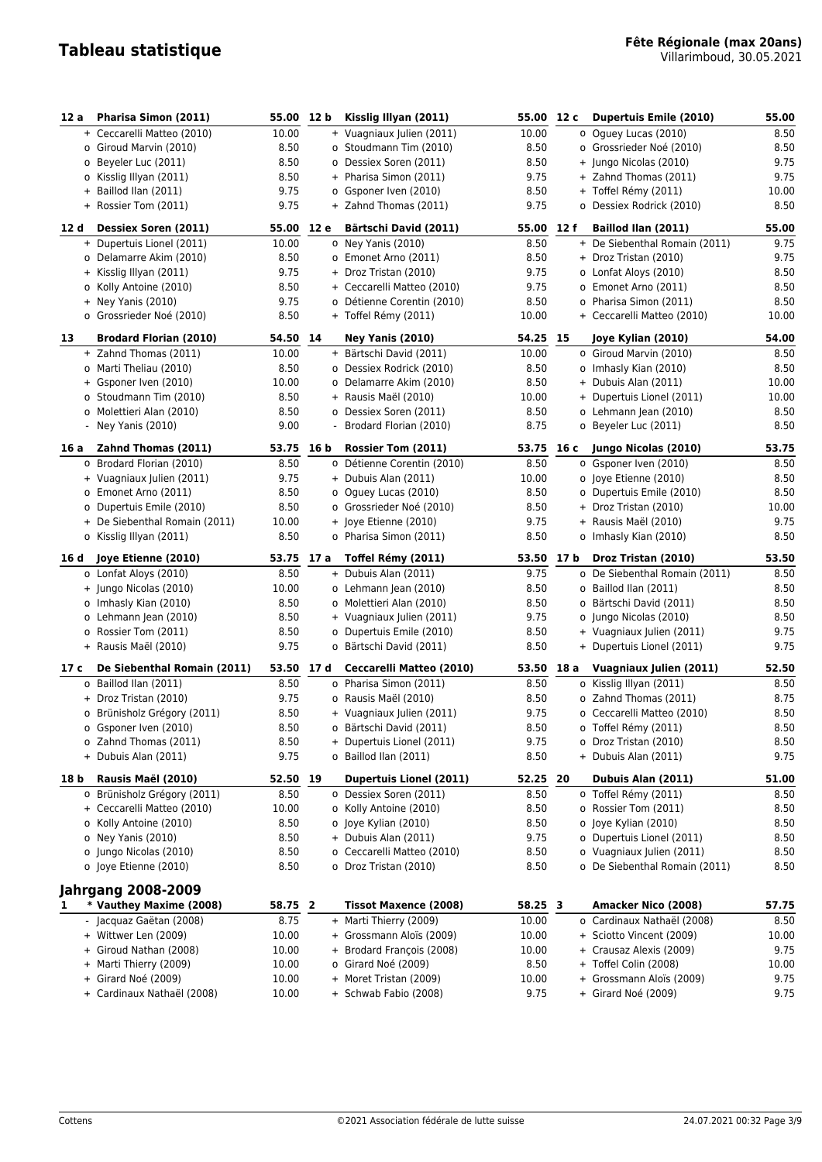| 12 a | Pharisa Simon (2011)                              | 55.00 12 b     | Kisslig Illyan (2011)                           | 55.00         | 12 c | Dupertuis Emile (2010)                                     | 55.00        |
|------|---------------------------------------------------|----------------|-------------------------------------------------|---------------|------|------------------------------------------------------------|--------------|
|      | + Ceccarelli Matteo (2010)                        | 10.00          | + Vuagniaux Julien (2011)                       | 10.00         |      | o Oquey Lucas (2010)                                       | 8.50         |
|      | o Giroud Marvin (2010)                            | 8.50           | o Stoudmann Tim (2010)                          | 8.50          |      | o Grossrieder Noé (2010)                                   | 8.50         |
|      | o Beyeler Luc (2011)                              | 8.50           | o Dessiex Soren (2011)                          | 8.50          |      | + Jungo Nicolas (2010)                                     | 9.75         |
|      | o Kisslig Illyan (2011)                           | 8.50           | + Pharisa Simon (2011)                          | 9.75          |      | + Zahnd Thomas (2011)                                      | 9.75         |
|      | + Baillod Ilan (2011)                             | 9.75           | o Gsponer Iven (2010)                           | 8.50          |      | + Toffel Rémy (2011)                                       | 10.00        |
|      | + Rossier Tom (2011)                              | 9.75           | + Zahnd Thomas (2011)                           | 9.75          |      | o Dessiex Rodrick (2010)                                   | 8.50         |
| 12 d | <b>Dessiex Soren (2011)</b>                       | 55.00 12 e     | Bärtschi David (2011)                           | 55.00 12 f    |      | Baillod Ilan (2011)                                        | 55.00        |
|      | + Dupertuis Lionel (2011)                         | 10.00          | o Ney Yanis (2010)                              | 8.50          |      | + De Siebenthal Romain (2011)                              | 9.75         |
|      | o Delamarre Akim (2010)                           | 8.50           | o Emonet Arno (2011)                            | 8.50          |      | + Droz Tristan (2010)                                      | 9.75         |
|      | + Kisslig Illyan (2011)                           | 9.75           | + Droz Tristan (2010)                           | 9.75          |      | o Lonfat Aloys (2010)                                      | 8.50         |
|      | o Kolly Antoine (2010)                            | 8.50           | + Ceccarelli Matteo (2010)                      | 9.75          |      | o Emonet Arno (2011)                                       | 8.50         |
|      | $+$ Ney Yanis (2010)                              | 9.75           | o Détienne Corentin (2010)                      | 8.50          |      | o Pharisa Simon (2011)                                     | 8.50         |
|      | o Grossrieder Noé (2010)                          | 8.50           | + Toffel Rémy (2011)                            | 10.00         |      | + Ceccarelli Matteo (2010)                                 | 10.00        |
| 13   | <b>Brodard Florian (2010)</b>                     | 54.50 14       | <b>Ney Yanis (2010)</b>                         | 54.25 15      |      | Joye Kylian (2010)                                         | 54.00        |
|      | + Zahnd Thomas (2011)                             | 10.00          | + Bärtschi David (2011)                         | 10.00         |      | o Giroud Marvin (2010)                                     | 8.50         |
|      | o Marti Theliau (2010)                            | 8.50           | o Dessiex Rodrick (2010)                        | 8.50          |      | o Imhasly Kian (2010)                                      | 8.50         |
|      | + Gsponer Iven (2010)                             | 10.00          | o Delamarre Akim (2010)                         | 8.50          |      | + Dubuis Alan (2011)                                       | 10.00        |
|      | o Stoudmann Tim (2010)                            | 8.50           | + Rausis Maël (2010)                            | 10.00         |      | + Dupertuis Lionel (2011)                                  | 10.00        |
|      | o Molettieri Alan (2010)                          | 8.50           | o Dessiex Soren (2011)                          | 8.50          |      | o Lehmann Jean (2010)                                      | 8.50         |
|      | - Ney Yanis (2010)                                | 9.00           | Brodard Florian (2010)                          | 8.75          |      | o Beyeler Luc (2011)                                       | 8.50         |
| 16 a | Zahnd Thomas (2011)                               | 53.75 16 b     | <b>Rossier Tom (2011)</b>                       | 53.75 16 c    |      | Jungo Nicolas (2010)                                       | 53.75        |
|      | o Brodard Florian (2010)                          | 8.50           | o Détienne Corentin (2010)                      | 8.50          |      | o Gsponer Iven (2010)                                      | 8.50         |
|      | + Vuagniaux Julien (2011)                         | 9.75           | + Dubuis Alan (2011)                            | 10.00         |      | o Joye Etienne (2010)                                      | 8.50         |
|      | o Emonet Arno (2011)                              | 8.50           | o Oguey Lucas (2010)                            | 8.50          |      | o Dupertuis Emile (2010)                                   | 8.50         |
|      | o Dupertuis Emile (2010)                          | 8.50           | o Grossrieder Noé (2010)                        | 8.50          |      | + Droz Tristan (2010)                                      | 10.00        |
|      | + De Siebenthal Romain (2011)                     | 10.00          | + Joye Etienne (2010)                           | 9.75          |      | + Rausis Maël (2010)                                       | 9.75         |
|      | o Kisslig Illyan (2011)                           | 8.50           | o Pharisa Simon (2011)                          | 8.50          |      | o Imhasly Kian (2010)                                      | 8.50         |
| 16 d | Joye Etienne (2010)                               | 53.75 17 a     | Toffel Rémy (2011)                              | 53.50 17 b    |      | Droz Tristan (2010)                                        | 53.50        |
|      | o Lonfat Aloys (2010)                             | 8.50           | + Dubuis Alan (2011)                            | 9.75          |      | o De Siebenthal Romain (2011)                              | 8.50         |
|      | + Jungo Nicolas (2010)                            | 10.00          | o Lehmann Jean (2010)                           | 8.50          |      | o Baillod Ilan (2011)                                      | 8.50         |
|      | o Imhasly Kian (2010)                             | 8.50           | o Molettieri Alan (2010)                        | 8.50          |      | o Bärtschi David (2011)                                    | 8.50         |
|      | o Lehmann Jean (2010)                             | 8.50           | + Vuagniaux Julien (2011)                       | 9.75          |      | o Jungo Nicolas (2010)                                     | 8.50         |
|      | o Rossier Tom (2011)                              | 8.50           | o Dupertuis Emile (2010)                        | 8.50          |      | + Vuagniaux Julien (2011)                                  | 9.75         |
|      | + Rausis Maël (2010)                              | 9.75           | o Bärtschi David (2011)                         | 8.50          |      | + Dupertuis Lionel (2011)                                  | 9.75         |
| 17 c | De Siebenthal Romain (2011)                       | 53.50 17 d     | Ceccarelli Matteo (2010)                        | 53.50 18 a    |      | Vuagniaux Julien (2011)                                    | 52.50        |
|      | o Baillod Ilan (2011)                             | 8.50           | o Pharisa Simon (2011)                          | 8.50          |      | o Kisslig Illyan (2011)                                    | 8.50         |
|      | + Droz Tristan (2010)                             | 9.75           | o Rausis Maël (2010)                            | 8.50          |      | o Zahnd Thomas (2011)                                      | 8.75         |
|      | o Brünisholz Grégory (2011)                       | 8.50           | + Vuagniaux Julien (2011)                       | 9.75          |      | o Ceccarelli Matteo (2010)                                 | 8.50         |
|      | o Gsponer Iven (2010)                             | 8.50           | o Bärtschi David (2011)                         | 8.50          |      | o Toffel Rémy (2011)                                       | 8.50         |
|      | o Zahnd Thomas (2011)                             | 8.50           | + Dupertuis Lionel (2011)                       | 9.75          |      | o Droz Tristan (2010)                                      | 8.50         |
|      | + Dubuis Alan (2011)                              | 9.75           | o Baillod Ilan (2011)                           | 8.50          |      | + Dubuis Alan (2011)                                       | 9.75         |
| 18 b | Rausis Maël (2010)                                | 52.50 19       | <b>Dupertuis Lionel (2011)</b>                  | 52.25 20      |      | Dubuis Alan (2011)                                         | 51.00        |
|      | o Brünisholz Grégory (2011)                       | 8.50           | o Dessiex Soren (2011)                          | 8.50          |      | o Toffel Rémy (2011)                                       | 8.50         |
|      | + Ceccarelli Matteo (2010)                        | 10.00          | o Kolly Antoine (2010)                          | 8.50          |      | o Rossier Tom (2011)                                       | 8.50         |
|      | o Kolly Antoine (2010)                            | 8.50           | o Joye Kylian (2010)                            | 8.50          |      | o Joye Kylian (2010)                                       | 8.50         |
|      | o Ney Yanis (2010)                                | 8.50           | + Dubuis Alan (2011)                            | 9.75          |      | o Dupertuis Lionel (2011)                                  | 8.50         |
|      | o Jungo Nicolas (2010)                            | 8.50           | o Ceccarelli Matteo (2010)                      | 8.50          |      | o Vuagniaux Julien (2011)<br>o De Siebenthal Romain (2011) | 8.50         |
|      |                                                   |                |                                                 |               |      |                                                            | 8.50         |
|      | o Joye Etienne (2010)                             | 8.50           | o Droz Tristan (2010)                           | 8.50          |      |                                                            |              |
|      | <b>Jahrgang 2008-2009</b>                         |                |                                                 |               |      |                                                            |              |
| 1    | * Vauthey Maxime (2008)                           | 58.75 2        | <b>Tissot Maxence (2008)</b>                    | 58.25 3       |      | Amacker Nico (2008)                                        | 57.75        |
|      | - Jacquaz Gaëtan (2008)                           | 8.75           | + Marti Thierry (2009)                          | 10.00         |      | o Cardinaux Nathaël (2008)                                 | 8.50         |
|      | + Wittwer Len (2009)                              | 10.00          | + Grossmann Aloïs (2009)                        | 10.00         |      | + Sciotto Vincent (2009)                                   | 10.00        |
|      | + Giroud Nathan (2008)                            | 10.00          | + Brodard François (2008)                       | 10.00         |      | + Crausaz Alexis (2009)                                    | 9.75         |
|      | + Marti Thierry (2009)                            | 10.00          | o Girard Noé (2009)                             | 8.50          |      | + Toffel Colin (2008)                                      | 10.00        |
|      | + Girard Noé (2009)<br>+ Cardinaux Nathaël (2008) | 10.00<br>10.00 | + Moret Tristan (2009)<br>+ Schwab Fabio (2008) | 10.00<br>9.75 |      | + Grossmann Aloïs (2009)<br>+ Girard Noé (2009)            | 9.75<br>9.75 |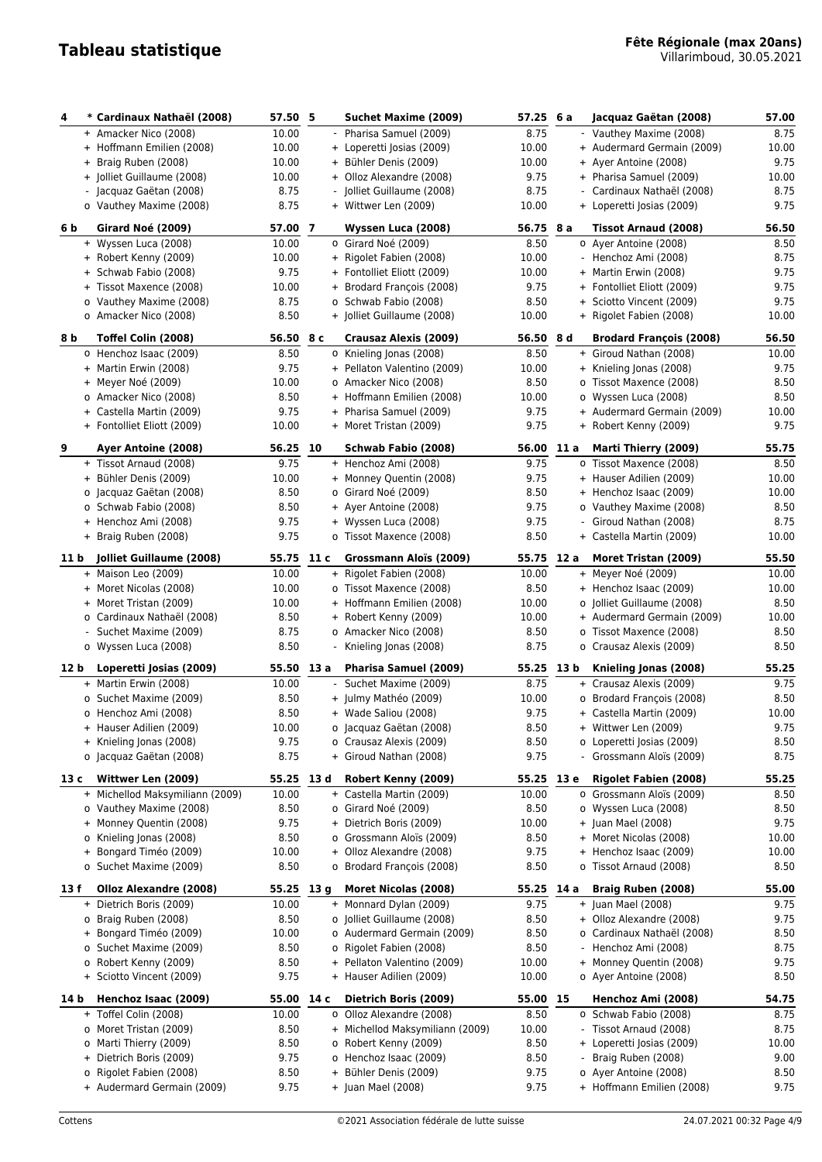| 4    | * Cardinaux Nathaël (2008)                       | 57.50 5        |      | Suchet Maxime (2009)                            | 57.25              | 6 a  | Jacquaz Gaëtan (2008)                                | 57.00         |
|------|--------------------------------------------------|----------------|------|-------------------------------------------------|--------------------|------|------------------------------------------------------|---------------|
|      | + Amacker Nico (2008)                            | 10.00          |      | - Pharisa Samuel (2009)                         | 8.75               |      | - Vauthey Maxime (2008)                              | 8.75          |
|      | + Hoffmann Emilien (2008)                        | 10.00          |      | + Loperetti Josias (2009)                       | 10.00              |      | + Audermard Germain (2009)                           | 10.00         |
|      | + Braig Ruben (2008)                             | 10.00          |      | + Bühler Denis (2009)                           | 10.00              |      | + Ayer Antoine (2008)                                | 9.75          |
|      | + Jolliet Guillaume (2008)                       | 10.00          |      | + Olloz Alexandre (2008)                        | 9.75               |      | + Pharisa Samuel (2009)                              | 10.00         |
|      | - Jacquaz Gaëtan (2008)                          | 8.75           |      | - Jolliet Guillaume (2008)                      | 8.75               |      | Cardinaux Nathaël (2008)                             | 8.75          |
|      |                                                  | 8.75           |      |                                                 |                    |      |                                                      | 9.75          |
|      | o Vauthey Maxime (2008)                          |                |      | + Wittwer Len (2009)                            | 10.00              |      | + Loperetti Josias (2009)                            |               |
| 6 b  | Girard Noé (2009)                                | 57.00 7        |      | Wyssen Luca (2008)                              | 56.75 8 a          |      | Tissot Arnaud (2008)                                 | 56.50         |
|      | + Wyssen Luca (2008)                             | 10.00          |      | o Girard Noé (2009)                             | 8.50               |      | o Ayer Antoine (2008)                                | 8.50          |
|      | + Robert Kenny (2009)                            | 10.00          |      | + Rigolet Fabien (2008)                         | 10.00              |      | - Henchoz Ami (2008)                                 | 8.75          |
|      | + Schwab Fabio (2008)                            | 9.75           |      | + Fontolliet Eliott (2009)                      | 10.00              |      | + Martin Erwin (2008)                                | 9.75          |
|      | + Tissot Maxence (2008)                          | 10.00          |      | + Brodard François (2008)                       | 9.75               |      | + Fontolliet Eliott (2009)                           | 9.75          |
|      | o Vauthey Maxime (2008)                          | 8.75           |      | o Schwab Fabio (2008)                           | 8.50               |      | + Sciotto Vincent (2009)                             | 9.75          |
|      | o Amacker Nico (2008)                            | 8.50           |      | + Jolliet Guillaume (2008)                      | 10.00              |      | + Rigolet Fabien (2008)                              | 10.00         |
| 8 b  | Toffel Colin (2008)                              | 56.50 8 c      |      | Crausaz Alexis (2009)                           | 56.50 8 d          |      | Brodard François (2008)                              | 56.50         |
|      | o Henchoz Isaac (2009)                           | 8.50           |      | o Knieling Jonas (2008)                         | 8.50               |      | + Giroud Nathan (2008)                               | 10.00         |
|      | + Martin Erwin (2008)                            | 9.75           |      | + Pellaton Valentino (2009)                     | 10.00              |      | + Knieling Jonas (2008)                              | 9.75          |
|      | + Meyer Noé (2009)                               | 10.00          |      | o Amacker Nico (2008)                           | 8.50               |      | o Tissot Maxence (2008)                              | 8.50          |
|      | o Amacker Nico (2008)                            | 8.50           |      | + Hoffmann Emilien (2008)                       | 10.00              |      | o Wyssen Luca (2008)                                 | 8.50          |
|      | + Castella Martin (2009)                         | 9.75           |      | + Pharisa Samuel (2009)                         | 9.75               |      | + Audermard Germain (2009)                           | 10.00         |
|      | + Fontolliet Eliott (2009)                       | 10.00          |      | + Moret Tristan (2009)                          | 9.75               |      | + Robert Kenny (2009)                                | 9.75          |
|      |                                                  |                |      |                                                 |                    |      |                                                      |               |
| 9    | Ayer Antoine (2008)                              | 56.25          | 10   | Schwab Fabio (2008)                             | 56.00              | 11 a | Marti Thierry (2009)                                 | 55.75         |
|      | + Tissot Arnaud (2008)                           | 9.75           |      | + Henchoz Ami (2008)                            | 9.75               |      | o Tissot Maxence (2008)                              | 8.50          |
|      | + Bühler Denis (2009)                            | 10.00          |      | + Monney Quentin (2008)                         | 9.75               |      | + Hauser Adilien (2009)                              | 10.00         |
|      | o Jacquaz Gaëtan (2008)                          | 8.50           |      | o Girard Noé (2009)                             | 8.50               |      | + Henchoz Isaac (2009)                               | 10.00         |
|      | o Schwab Fabio (2008)                            | 8.50           |      | + Ayer Antoine (2008)                           | 9.75               |      | o Vauthey Maxime (2008)                              | 8.50          |
|      | + Henchoz Ami (2008)                             | 9.75           |      | + Wyssen Luca (2008)                            | 9.75               |      | - Giroud Nathan (2008)                               | 8.75          |
|      | + Braig Ruben (2008)                             | 9.75           |      | o Tissot Maxence (2008)                         | 8.50               |      | + Castella Martin (2009)                             | 10.00         |
| 11 b | Jolliet Guillaume (2008)                         | 55.75          | 11 c | Grossmann Aloïs (2009)                          | 55.75 12 a         |      | Moret Tristan (2009)                                 | 55.50         |
|      | + Maison Leo (2009)                              | 10.00          |      | + Rigolet Fabien (2008)                         | 10.00              |      | + Meyer Noé (2009)                                   | 10.00         |
|      | + Moret Nicolas (2008)                           | 10.00          |      | o Tissot Maxence (2008)                         | 8.50               |      | + Henchoz Isaac (2009)                               | 10.00         |
|      | + Moret Tristan (2009)                           | 10.00          |      | + Hoffmann Emilien (2008)                       | 10.00              |      | o Jolliet Guillaume (2008)                           | 8.50          |
|      | o Cardinaux Nathaël (2008)                       | 8.50           |      | + Robert Kenny (2009)                           | 10.00              |      | + Audermard Germain (2009)                           | 10.00         |
|      | Suchet Maxime (2009)                             | 8.75           |      | o Amacker Nico (2008)                           | 8.50               |      | o Tissot Maxence (2008)                              | 8.50          |
|      | o Wyssen Luca (2008)                             | 8.50           |      | - Knieling Jonas (2008)                         | 8.75               |      | o Crausaz Alexis (2009)                              | 8.50          |
|      |                                                  |                |      |                                                 |                    |      |                                                      |               |
| 12 b | Loperetti Josias (2009)<br>+ Martin Erwin (2008) | 55.50<br>10.00 | 13 a | Pharisa Samuel (2009)                           | 55.25 13 b<br>8.75 |      | Knieling Jonas (2008)                                | 55.25<br>9.75 |
|      | o Suchet Maxime (2009)                           |                |      | - Suchet Maxime (2009)<br>+ Julmy Mathéo (2009) |                    |      | + Crausaz Alexis (2009)<br>o Brodard François (2008) |               |
|      |                                                  | 8.50           |      |                                                 | 10.00              |      |                                                      | 8.50          |
|      | o Henchoz Ami (2008)                             | 8.50           |      | + Wade Saliou (2008)                            | 9.75               |      | + Castella Martin (2009)                             | 10.00         |
|      | + Hauser Adilien (2009)                          | 10.00          |      | o Jacquaz Gaëtan (2008)                         | 8.50               |      | + Wittwer Len (2009)                                 | 9.75          |
|      | + Knieling Jonas (2008)                          | 9.75           |      | o Crausaz Alexis (2009)                         | 8.50               |      | o Loperetti Josias (2009)                            | 8.50          |
|      | o Jacquaz Gaëtan (2008)                          | 8.75           |      | + Giroud Nathan (2008)                          | 9.75               |      | - Grossmann Aloïs (2009)                             | 8.75          |
| 13 c | Wittwer Len (2009)                               | 55.25 13 d     |      | Robert Kenny (2009)                             | 55.25 13 e         |      | <b>Rigolet Fabien (2008)</b>                         | 55.25         |
|      | + Michellod Maksymiliann (2009)                  | 10.00          |      | + Castella Martin (2009)                        | 10.00              |      | o Grossmann Aloïs (2009)                             | 8.50          |
|      | o Vauthey Maxime (2008)                          | 8.50           |      | o Girard Noé (2009)                             | 8.50               |      | o Wyssen Luca (2008)                                 | 8.50          |
| $^+$ | Monney Quentin (2008)                            | 9.75           |      | + Dietrich Boris (2009)                         | 10.00              |      | + Juan Mael (2008)                                   | 9.75          |
|      | o Knieling Jonas (2008)                          | 8.50           |      | o Grossmann Aloïs (2009)                        | 8.50               |      | + Moret Nicolas (2008)                               | 10.00         |
|      | + Bongard Timéo (2009)                           | 10.00          |      | + Olloz Alexandre (2008)                        | 9.75               |      | + Henchoz Isaac (2009)                               | 10.00         |
|      | o Suchet Maxime (2009)                           | 8.50           |      | o Brodard François (2008)                       | 8.50               |      | o Tissot Arnaud (2008)                               | 8.50          |
| 13 f | Olloz Alexandre (2008)                           | 55.25 13 g     |      | Moret Nicolas (2008)                            | 55.25 14 a         |      | Braig Ruben (2008)                                   | 55.00         |
|      | + Dietrich Boris (2009)                          | 10.00          |      | + Monnard Dylan (2009)                          | 9.75               |      | $+$ Juan Mael (2008)                                 | 9.75          |
|      | o Braig Ruben (2008)                             | 8.50           |      | o Jolliet Guillaume (2008)                      | 8.50               |      | + Olloz Alexandre (2008)                             | 9.75          |
|      | + Bongard Timéo (2009)                           |                |      |                                                 |                    |      |                                                      |               |
|      |                                                  | 10.00          |      | o Audermard Germain (2009)                      | 8.50               |      | o Cardinaux Nathaël (2008)                           | 8.50          |
|      | o Suchet Maxime (2009)                           | 8.50           |      | o Rigolet Fabien (2008)                         | 8.50               |      | Henchoz Ami (2008)                                   | 8.75          |
|      | o Robert Kenny (2009)                            | 8.50           |      | + Pellaton Valentino (2009)                     | 10.00              |      | + Monney Quentin (2008)                              | 9.75          |
|      | + Sciotto Vincent (2009)                         | 9.75           |      | + Hauser Adilien (2009)                         | 10.00              |      | o Ayer Antoine (2008)                                | 8.50          |
| 14 b | Henchoz Isaac (2009)                             | 55.00 14 c     |      | Dietrich Boris (2009)                           | 55.00 15           |      | Henchoz Ami (2008)                                   | 54.75         |
|      | + Toffel Colin (2008)                            | 10.00          |      | o Olloz Alexandre (2008)                        | 8.50               |      | o Schwab Fabio (2008)                                | 8.75          |
| 0    | Moret Tristan (2009)                             | 8.50           |      | + Michellod Maksymiliann (2009)                 | 10.00              |      | Tissot Arnaud (2008)                                 | 8.75          |
|      | o Marti Thierry (2009)                           | 8.50           |      | o Robert Kenny (2009)                           | 8.50               |      | + Loperetti Josias (2009)                            | 10.00         |
|      | + Dietrich Boris (2009)                          | 9.75           |      | o Henchoz Isaac (2009)                          | 8.50               |      | Braig Ruben (2008)                                   | 9.00          |
|      | o Rigolet Fabien (2008)                          | 8.50           |      | + Bühler Denis (2009)                           | 9.75               |      | o Ayer Antoine (2008)                                | 8.50          |
|      | + Audermard Germain (2009)                       | 9.75           |      | + Juan Mael (2008)                              | 9.75               |      | + Hoffmann Emilien (2008)                            | 9.75          |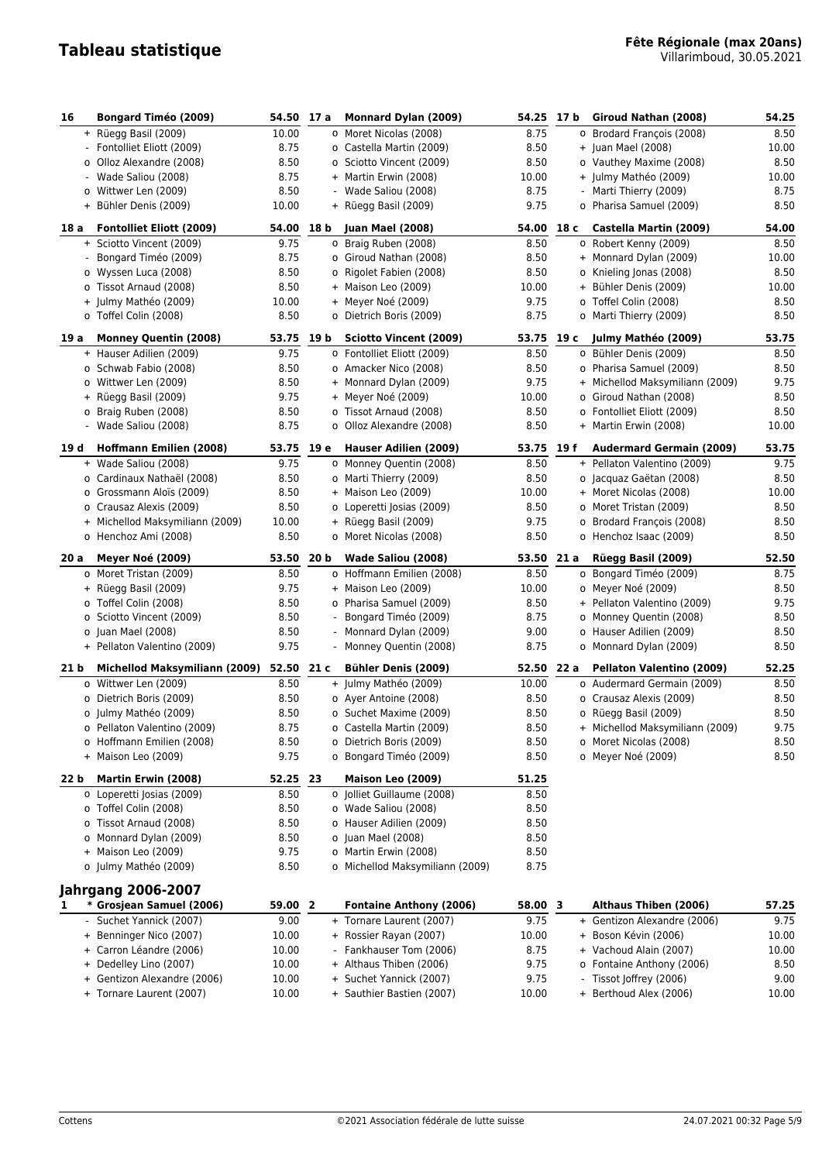| 16   | <b>Bongard Timéo (2009)</b>                             | 54.50 17 a         |      | Monnard Dylan (2009)                                        | 54.25              | 17 b | Giroud Nathan (2008)                                   | 54.25         |
|------|---------------------------------------------------------|--------------------|------|-------------------------------------------------------------|--------------------|------|--------------------------------------------------------|---------------|
|      | + Rüegg Basil (2009)                                    | 10.00              |      | o Moret Nicolas (2008)                                      | 8.75               |      | o Brodard François (2008)                              | 8.50          |
|      | - Fontolliet Eliott (2009)                              | 8.75               |      | o Castella Martin (2009)                                    | 8.50               |      | + Juan Mael (2008)                                     | 10.00         |
|      | o Olloz Alexandre (2008)                                | 8.50               |      | o Sciotto Vincent (2009)                                    | 8.50               |      | o Vauthey Maxime (2008)                                | 8.50          |
|      | - Wade Saliou (2008)                                    | 8.75               |      | + Martin Erwin (2008)                                       | 10.00              |      | + Julmy Mathéo (2009)                                  | 10.00         |
|      | o Wittwer Len (2009)                                    | 8.50               |      | Wade Saliou (2008)                                          | 8.75               |      | Marti Thierry (2009)                                   | 8.75          |
|      | + Bühler Denis (2009)                                   | 10.00              |      | + Rüegg Basil (2009)                                        | 9.75               |      | o Pharisa Samuel (2009)                                | 8.50          |
| 18 a | <b>Fontolliet Eliott (2009)</b>                         | 54.00 18 b         |      | <b>Juan Mael (2008)</b>                                     | 54.00              | 18 с | Castella Martin (2009)                                 | 54.00         |
|      | + Sciotto Vincent (2009)                                | 9.75               |      | o Braig Ruben (2008)                                        | 8.50               |      | o Robert Kenny (2009)                                  | 8.50          |
|      | Bongard Timéo (2009)                                    | 8.75               |      | o Giroud Nathan (2008)                                      | 8.50               |      | + Monnard Dylan (2009)                                 | 10.00         |
|      | o Wyssen Luca (2008)                                    | 8.50               |      | o Rigolet Fabien (2008)                                     | 8.50               |      | o Knieling Jonas (2008)                                | 8.50          |
|      | o Tissot Arnaud (2008)                                  | 8.50               |      | + Maison Leo (2009)                                         | 10.00              |      | + Bühler Denis (2009)                                  | 10.00         |
|      | + Julmy Mathéo (2009)                                   | 10.00              |      | + Meyer Noé (2009)                                          | 9.75               |      | o Toffel Colin (2008)                                  | 8.50          |
|      | o Toffel Colin (2008)                                   | 8.50               |      | o Dietrich Boris (2009)                                     | 8.75               |      | o Marti Thierry (2009)                                 | 8.50          |
|      |                                                         |                    |      |                                                             |                    |      |                                                        |               |
| 19 a | <b>Monney Quentin (2008)</b><br>+ Hauser Adilien (2009) | 53.75 19 b<br>9.75 |      | <b>Sciotto Vincent (2009)</b><br>o Fontolliet Eliott (2009) | 53.75 19 c<br>8.50 |      | Julmy Mathéo (2009)<br>o Bühler Denis (2009)           | 53.75<br>8.50 |
|      | o Schwab Fabio (2008)                                   | 8.50               |      | o Amacker Nico (2008)                                       | 8.50               |      | o Pharisa Samuel (2009)                                | 8.50          |
|      | o Wittwer Len (2009)                                    | 8.50               |      | + Monnard Dylan (2009)                                      | 9.75               |      | + Michellod Maksymiliann (2009)                        | 9.75          |
|      | + Rüegg Basil (2009)                                    | 9.75               |      | + Meyer Noé (2009)                                          | 10.00              |      | o Giroud Nathan (2008)                                 | 8.50          |
|      | o Braig Ruben (2008)                                    | 8.50               |      | o Tissot Arnaud (2008)                                      | 8.50               |      | o Fontolliet Eliott (2009)                             | 8.50          |
|      | - Wade Saliou (2008)                                    | 8.75               |      | o Olloz Alexandre (2008)                                    | 8.50               |      | + Martin Erwin (2008)                                  | 10.00         |
|      |                                                         |                    |      |                                                             |                    |      |                                                        |               |
| 19 d | <b>Hoffmann Emilien (2008)</b>                          | 53.75 19 e         |      | Hauser Adilien (2009)                                       | 53.75              | 19 f | <b>Audermard Germain (2009)</b>                        | 53.75         |
|      | + Wade Saliou (2008)                                    | 9.75<br>8.50       |      | o Monney Quentin (2008)                                     | 8.50               |      | + Pellaton Valentino (2009)<br>o Jacquaz Gaëtan (2008) | 9.75<br>8.50  |
|      | o Cardinaux Nathaël (2008)<br>o Grossmann Aloïs (2009)  | 8.50               |      | o Marti Thierry (2009)<br>+ Maison Leo (2009)               | 8.50<br>10.00      |      | + Moret Nicolas (2008)                                 | 10.00         |
|      | o Crausaz Alexis (2009)                                 | 8.50               |      | o Loperetti Josias (2009)                                   | 8.50               |      | o Moret Tristan (2009)                                 | 8.50          |
|      | + Michellod Maksymiliann (2009)                         | 10.00              |      | + Rüegg Basil (2009)                                        | 9.75               |      | o Brodard François (2008)                              | 8.50          |
|      | o Henchoz Ami (2008)                                    | 8.50               |      | o Moret Nicolas (2008)                                      | 8.50               |      | o Henchoz Isaac (2009)                                 | 8.50          |
|      |                                                         |                    |      |                                                             |                    |      |                                                        |               |
| 20 a | Meyer Noé (2009)                                        | 53.50              | 20 b | Wade Saliou (2008)                                          | 53.50 21 a         |      | Rüegg Basil (2009)                                     | 52.50         |
|      | o Moret Tristan (2009)                                  | 8.50<br>9.75       |      | o Hoffmann Emilien (2008)<br>+ Maison Leo (2009)            | 8.50               | 0    | Bongard Timéo (2009)                                   | 8.75          |
|      | + Rüegg Basil (2009)                                    | 8.50               |      |                                                             | 10.00              |      | o Meyer Noé (2009)                                     | 8.50<br>9.75  |
|      | o Toffel Colin (2008)<br>o Sciotto Vincent (2009)       | 8.50               |      | o Pharisa Samuel (2009)<br>Bongard Timéo (2009)             | 8.50<br>8.75       |      | + Pellaton Valentino (2009)<br>o Monney Quentin (2008) | 8.50          |
|      | o Juan Mael (2008)                                      | 8.50               |      | - Monnard Dylan (2009)                                      | 9.00               |      | o Hauser Adilien (2009)                                | 8.50          |
|      | + Pellaton Valentino (2009)                             | 9.75               |      | - Monney Quentin (2008)                                     | 8.75               |      | o Monnard Dylan (2009)                                 | 8.50          |
|      |                                                         |                    |      |                                                             |                    |      |                                                        |               |
| 21 b | Michellod Maksymiliann (2009)                           | 52.50 21 c         |      | <b>Bühler Denis (2009)</b>                                  | 52.50 22 a         |      | Pellaton Valentino (2009)                              | 52.25         |
|      | o Wittwer Len (2009)<br>o Dietrich Boris (2009)         | 8.50<br>8.50       |      | + Julmy Mathéo (2009)<br>o Ayer Antoine (2008)              | 10.00<br>8.50      |      | o Audermard Germain (2009)                             | 8.50          |
|      |                                                         | 8.50               |      | o Suchet Maxime (2009)                                      | 8.50               |      | o Crausaz Alexis (2009)<br>o Rüegg Basil (2009)        | 8.50<br>8.50  |
|      | o Julmy Mathéo (2009)<br>o Pellaton Valentino (2009)    | 8.75               |      |                                                             | 8.50               |      | + Michellod Maksymiliann (2009)                        | 9.75          |
|      | o Hoffmann Emilien (2008)                               | 8.50               |      | o Castella Martin (2009)<br>o Dietrich Boris (2009)         | 8.50               |      | o Moret Nicolas (2008)                                 | 8.50          |
|      | + Maison Leo (2009)                                     | 9.75               |      | o Bongard Timéo (2009)                                      | 8.50               |      | o Meyer Noé (2009)                                     | 8.50          |
|      |                                                         |                    |      |                                                             |                    |      |                                                        |               |
| 22 b | Martin Erwin (2008)                                     | 52.25 23           |      | Maison Leo (2009)                                           | 51.25              |      |                                                        |               |
|      | o Loperetti Josias (2009)                               | 8.50               |      | o Jolliet Guillaume (2008)                                  | 8.50               |      |                                                        |               |
|      | o Toffel Colin (2008)                                   | 8.50               |      | o Wade Saliou (2008)                                        | 8.50               |      |                                                        |               |
|      | o Tissot Arnaud (2008)                                  | 8.50               |      | o Hauser Adilien (2009)                                     | 8.50               |      |                                                        |               |
|      | o Monnard Dylan (2009)<br>+ Maison Leo (2009)           | 8.50<br>9.75       |      | o Juan Mael (2008)<br>o Martin Erwin (2008)                 | 8.50<br>8.50       |      |                                                        |               |
|      | o Julmy Mathéo (2009)                                   | 8.50               |      | o Michellod Maksymiliann (2009)                             | 8.75               |      |                                                        |               |
|      |                                                         |                    |      |                                                             |                    |      |                                                        |               |
|      | <b>Jahrgang 2006-2007</b>                               |                    |      |                                                             |                    |      |                                                        |               |
| 1.   | * Grosjean Samuel (2006)                                | 59.00 2            |      | <b>Fontaine Anthony (2006)</b>                              | 58.00 3            |      | Althaus Thiben (2006)                                  | 57.25         |
|      | Suchet Yannick (2007)                                   | 9.00               |      | + Tornare Laurent (2007)                                    | 9.75               |      | + Gentizon Alexandre (2006)                            | 9.75          |
|      | + Benninger Nico (2007)                                 | 10.00              |      | + Rossier Rayan (2007)                                      | 10.00              |      | + Boson Kévin (2006)                                   | 10.00         |
|      | + Carron Léandre (2006)                                 | 10.00              |      | - Fankhauser Tom (2006)                                     | 8.75               |      | + Vachoud Alain (2007)                                 | 10.00         |
|      | + Dedelley Lino (2007)                                  | 10.00              |      | + Althaus Thiben (2006)                                     | 9.75               |      | o Fontaine Anthony (2006)                              | 8.50          |
|      | + Gentizon Alexandre (2006)<br>+ Tornare Laurent (2007) | 10.00<br>10.00     |      | + Suchet Yannick (2007)<br>+ Sauthier Bastien (2007)        | 9.75<br>10.00      |      | - Tissot Joffrey (2006)<br>+ Berthoud Alex (2006)      | 9.00<br>10.00 |
|      |                                                         |                    |      |                                                             |                    |      |                                                        |               |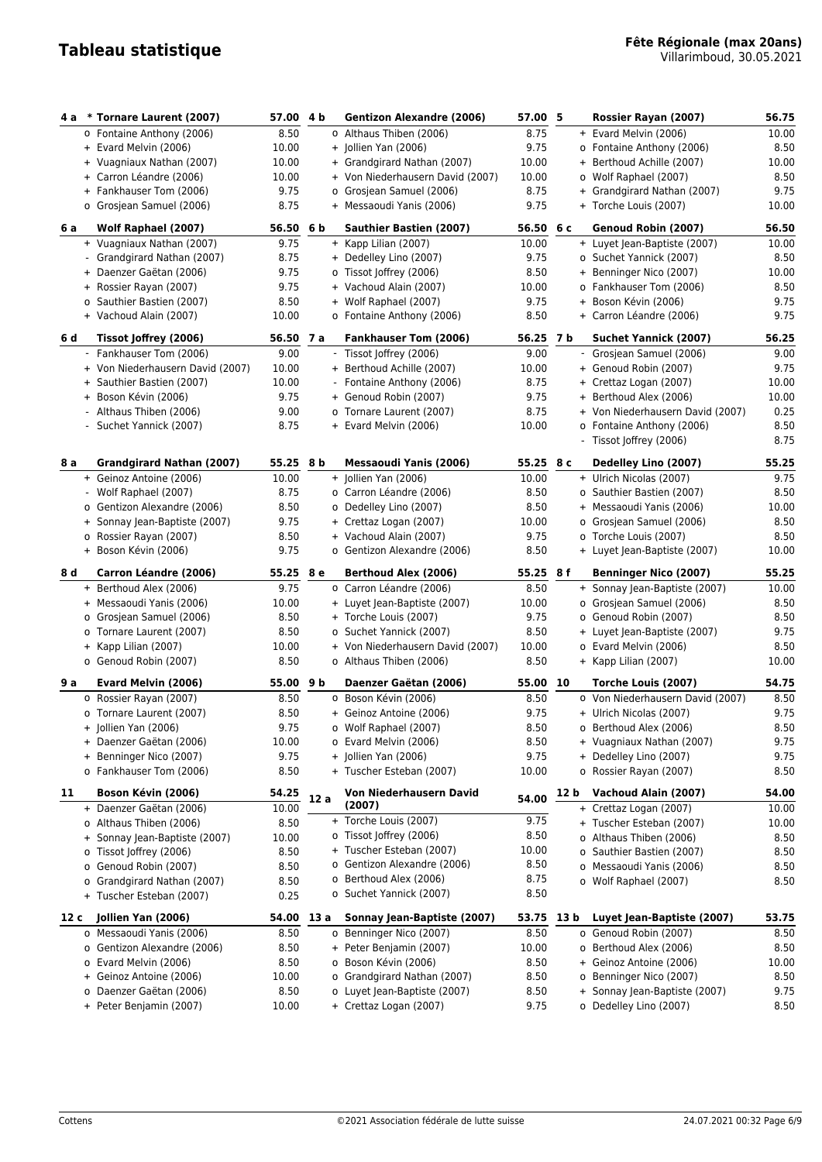| 4 a  | * Tornare Laurent (2007)         | 57.00 4 b |                | <b>Gentizon Alexandre (2006)</b> | 57.00 5   |      | Rossier Rayan (2007)             | 56.75 |
|------|----------------------------------|-----------|----------------|----------------------------------|-----------|------|----------------------------------|-------|
|      | o Fontaine Anthony (2006)        | 8.50      |                | o Althaus Thiben (2006)          | 8.75      |      | + Evard Melvin (2006)            | 10.00 |
|      | + Evard Melvin (2006)            | 10.00     |                | + Jollien Yan (2006)             | 9.75      |      | o Fontaine Anthony (2006)        | 8.50  |
|      | + Vuagniaux Nathan (2007)        | 10.00     |                | + Grandgirard Nathan (2007)      | 10.00     |      | + Berthoud Achille (2007)        | 10.00 |
|      | + Carron Léandre (2006)          | 10.00     |                | + Von Niederhausern David (2007) | 10.00     |      | o Wolf Raphael (2007)            | 8.50  |
|      | + Fankhauser Tom (2006)          | 9.75      |                | o Grosjean Samuel (2006)         | 8.75      |      | + Grandgirard Nathan (2007)      | 9.75  |
|      | o Grosjean Samuel (2006)         | 8.75      |                | + Messaoudi Yanis (2006)         | 9.75      |      | + Torche Louis (2007)            | 10.00 |
|      |                                  |           |                |                                  |           |      |                                  |       |
| 6 a  | Wolf Raphael (2007)              | 56.50     | 6 <sub>b</sub> | <b>Sauthier Bastien (2007)</b>   | 56.50 6 c |      | Genoud Robin (2007)              | 56.50 |
|      | + Vuagniaux Nathan (2007)        | 9.75      |                | + Kapp Lilian (2007)             | 10.00     |      | + Luyet Jean-Baptiste (2007)     | 10.00 |
|      | - Grandgirard Nathan (2007)      | 8.75      |                | + Dedelley Lino (2007)           | 9.75      |      | o Suchet Yannick (2007)          | 8.50  |
|      | + Daenzer Gaëtan (2006)          | 9.75      |                | o Tissot Joffrey (2006)          | 8.50      |      | + Benninger Nico (2007)          | 10.00 |
|      | + Rossier Rayan (2007)           | 9.75      |                | + Vachoud Alain (2007)           | 10.00     |      | o Fankhauser Tom (2006)          | 8.50  |
|      | o Sauthier Bastien (2007)        | 8.50      |                | + Wolf Raphael (2007)            | 9.75      |      | + Boson Kévin (2006)             | 9.75  |
|      | + Vachoud Alain (2007)           | 10.00     |                | o Fontaine Anthony (2006)        | 8.50      |      | + Carron Léandre (2006)          | 9.75  |
| 6 d  | Tissot Joffrey (2006)            | 56.50 7 a |                | <b>Fankhauser Tom (2006)</b>     | 56.25 7 b |      | <b>Suchet Yannick (2007)</b>     | 56.25 |
|      | - Fankhauser Tom (2006)          | 9.00      |                | - Tissot Joffrey (2006)          | 9.00      |      | - Grosjean Samuel (2006)         | 9.00  |
|      | + Von Niederhausern David (2007) | 10.00     |                | + Berthoud Achille (2007)        | 10.00     |      | + Genoud Robin (2007)            | 9.75  |
|      | + Sauthier Bastien (2007)        | 10.00     |                | - Fontaine Anthony (2006)        | 8.75      |      | + Crettaz Logan (2007)           | 10.00 |
|      | + Boson Kévin (2006)             | 9.75      |                | + Genoud Robin (2007)            | 9.75      |      | + Berthoud Alex (2006)           | 10.00 |
|      | - Althaus Thiben (2006)          | 9.00      |                | o Tornare Laurent (2007)         | 8.75      |      | + Von Niederhausern David (2007) | 0.25  |
|      | - Suchet Yannick (2007)          | 8.75      |                | + Evard Melvin (2006)            | 10.00     |      | o Fontaine Anthony (2006)        | 8.50  |
|      |                                  |           |                |                                  |           |      | - Tissot Joffrey (2006)          | 8.75  |
| 8 a  | Grandgirard Nathan (2007)        | 55.25 8 b |                | <b>Messaoudi Yanis (2006)</b>    | 55.25 8 c |      | Dedelley Lino (2007)             | 55.25 |
|      | + Geinoz Antoine (2006)          | 10.00     |                | + Jollien Yan (2006)             | 10.00     |      | + Ulrich Nicolas (2007)          | 9.75  |
|      | - Wolf Raphael (2007)            | 8.75      |                | o Carron Léandre (2006)          | 8.50      |      | o Sauthier Bastien (2007)        | 8.50  |
|      | o Gentizon Alexandre (2006)      | 8.50      |                | o Dedelley Lino (2007)           | 8.50      |      | + Messaoudi Yanis (2006)         | 10.00 |
|      | + Sonnay Jean-Baptiste (2007)    | 9.75      |                | + Crettaz Logan (2007)           | 10.00     |      | o Grosjean Samuel (2006)         | 8.50  |
|      | o Rossier Rayan (2007)           | 8.50      |                | + Vachoud Alain (2007)           | 9.75      |      | o Torche Louis (2007)            | 8.50  |
|      | + Boson Kévin (2006)             | 9.75      |                | o Gentizon Alexandre (2006)      | 8.50      |      | + Luyet Jean-Baptiste (2007)     | 10.00 |
|      |                                  |           |                |                                  |           |      |                                  |       |
|      |                                  |           |                |                                  |           |      |                                  |       |
| 8 d  | Carron Léandre (2006)            | 55.25 8 e |                | Berthoud Alex (2006)             | 55.25 8f  |      | <b>Benninger Nico (2007)</b>     | 55.25 |
|      | + Berthoud Alex (2006)           | 9.75      |                | o Carron Léandre (2006)          | 8.50      |      | + Sonnay Jean-Baptiste (2007)    | 10.00 |
|      | + Messaoudi Yanis (2006)         | 10.00     |                | + Luyet Jean-Baptiste (2007)     | 10.00     |      | o Grosjean Samuel (2006)         | 8.50  |
|      | o Grosjean Samuel (2006)         | 8.50      |                | + Torche Louis (2007)            | 9.75      |      | o Genoud Robin (2007)            | 8.50  |
|      | o Tornare Laurent (2007)         | 8.50      |                | o Suchet Yannick (2007)          | 8.50      |      | + Luyet Jean-Baptiste (2007)     | 9.75  |
|      | + Kapp Lilian (2007)             | 10.00     |                | + Von Niederhausern David (2007) | 10.00     |      | o Evard Melvin (2006)            | 8.50  |
|      | o Genoud Robin (2007)            | 8.50      |                | o Althaus Thiben (2006)          | 8.50      |      | + Kapp Lilian (2007)             | 10.00 |
| 9 a  | Evard Melvin (2006)              | 55.00 9 b |                | Daenzer Gaëtan (2006)            | 55.00 10  |      | Torche Louis (2007)              | 54.75 |
|      | o Rossier Rayan (2007)           | 8.50      |                | o Boson Kévin (2006)             | 8.50      |      | o Von Niederhausern David (2007) | 8.50  |
|      | o Tornare Laurent (2007)         | 8.50      |                | + Geinoz Antoine (2006)          | 9.75      |      | + Ulrich Nicolas (2007)          | 9.75  |
|      | + Jollien Yan (2006)             | 9.75      |                | o Wolf Raphael (2007)            | 8.50      |      | o Berthoud Alex (2006)           | 8.50  |
|      | + Daenzer Gaëtan (2006)          | 10.00     |                | o Evard Melvin (2006)            | 8.50      |      | + Vuagniaux Nathan (2007)        | 9.75  |
|      | + Benninger Nico (2007)          | 9.75      |                | + Jollien Yan (2006)             | 9.75      |      | + Dedelley Lino (2007)           | 9.75  |
|      | o Fankhauser Tom (2006)          | 8.50      |                | + Tuscher Esteban (2007)         | 10.00     |      | o Rossier Rayan (2007)           | 8.50  |
| 11   | Boson Kévin (2006)               | 54.25     |                | Von Niederhausern David          |           | 12 b | Vachoud Alain (2007)             | 54.00 |
|      | + Daenzer Gaëtan (2006)          | 10.00     | 12 a           | (2007)                           | 54.00     |      | + Crettaz Logan (2007)           | 10.00 |
|      | o Althaus Thiben (2006)          | 8.50      |                | + Torche Louis (2007)            | 9.75      |      | + Tuscher Esteban (2007)         | 10.00 |
|      | + Sonnay Jean-Baptiste (2007)    | 10.00     |                | o Tissot Joffrey (2006)          | 8.50      |      | o Althaus Thiben (2006)          | 8.50  |
|      | o Tissot Joffrey (2006)          | 8.50      |                | + Tuscher Esteban (2007)         | 10.00     |      | o Sauthier Bastien (2007)        | 8.50  |
|      | o Genoud Robin (2007)            | 8.50      |                | o Gentizon Alexandre (2006)      | 8.50      |      | o Messaoudi Yanis (2006)         | 8.50  |
|      | o Grandgirard Nathan (2007)      | 8.50      |                | o Berthoud Alex (2006)           | 8.75      |      | o Wolf Raphael (2007)            | 8.50  |
|      | + Tuscher Esteban (2007)         | 0.25      |                | o Suchet Yannick (2007)          | 8.50      |      |                                  |       |
| 12 c | Jollien Yan (2006)               | 54.00     | 13 a           | Sonnay Jean-Baptiste (2007)      | 53.75     | 13 b | Luyet Jean-Baptiste (2007)       | 53.75 |
|      | o Messaoudi Yanis (2006)         | 8.50      |                | o Benninger Nico (2007)          | 8.50      |      | o Genoud Robin (2007)            | 8.50  |
|      | o Gentizon Alexandre (2006)      | 8.50      |                | + Peter Benjamin (2007)          | 10.00     |      | o Berthoud Alex (2006)           | 8.50  |
|      | o Evard Melvin (2006)            | 8.50      |                | o Boson Kévin (2006)             | 8.50      |      | + Geinoz Antoine (2006)          | 10.00 |
|      | + Geinoz Antoine (2006)          | 10.00     |                | o Grandgirard Nathan (2007)      | 8.50      |      | o Benninger Nico (2007)          | 8.50  |
|      | o Daenzer Gaëtan (2006)          | 8.50      |                | o Luyet Jean-Baptiste (2007)     | 8.50      |      | + Sonnay Jean-Baptiste (2007)    | 9.75  |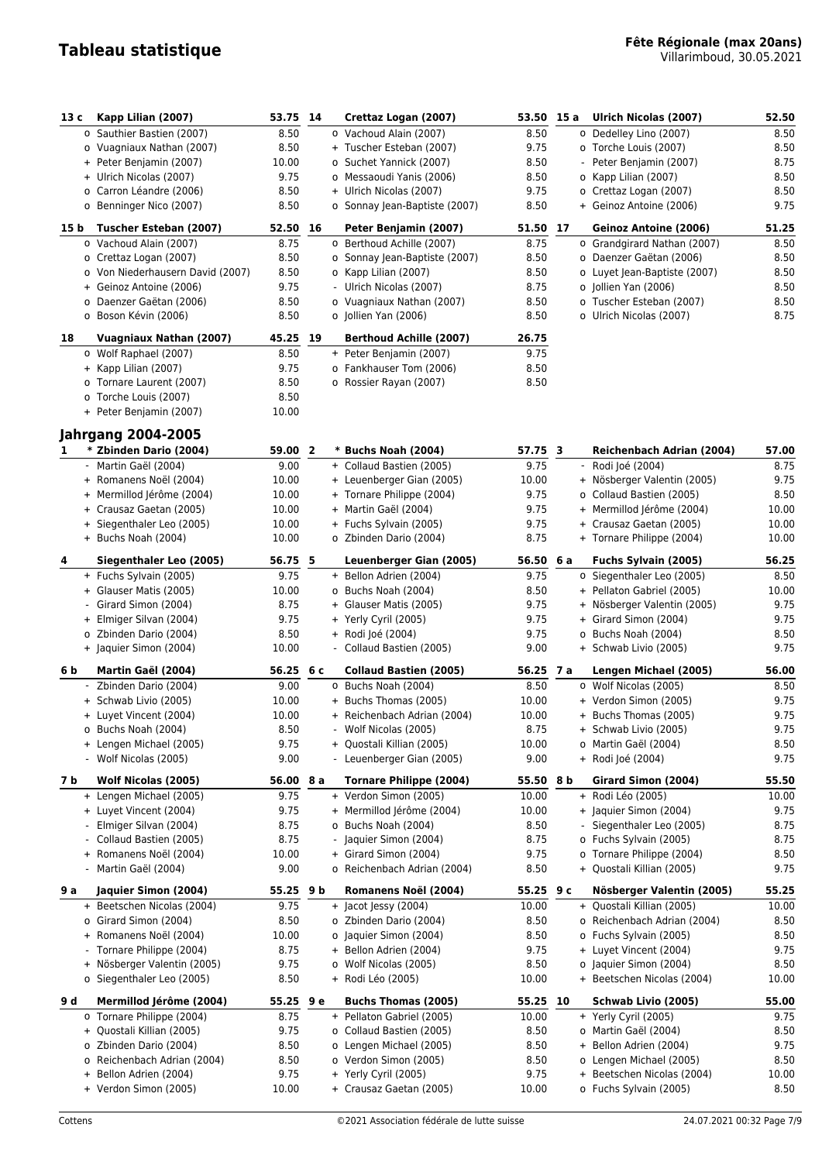| 13 c           | Kapp Lilian (2007)               | 53.75 14  |  | Crettaz Logan (2007)           | 53.50 15 a |     |     | Ulrich Nicolas (2007)        | 52.50 |
|----------------|----------------------------------|-----------|--|--------------------------------|------------|-----|-----|------------------------------|-------|
|                | o Sauthier Bastien (2007)        | 8.50      |  | o Vachoud Alain (2007)         | 8.50       |     |     | o Dedelley Lino (2007)       | 8.50  |
|                | o Vuagniaux Nathan (2007)        | 8.50      |  | + Tuscher Esteban (2007)       | 9.75       |     |     | o Torche Louis (2007)        | 8.50  |
|                | + Peter Benjamin (2007)          | 10.00     |  | o Suchet Yannick (2007)        | 8.50       |     |     | Peter Benjamin (2007)        | 8.75  |
|                | + Ulrich Nicolas (2007)          | 9.75      |  | o Messaoudi Yanis (2006)       | 8.50       |     |     | o Kapp Lilian (2007)         | 8.50  |
|                | o Carron Léandre (2006)          | 8.50      |  | + Ulrich Nicolas (2007)        | 9.75       |     |     | o Crettaz Logan (2007)       | 8.50  |
|                | o Benninger Nico (2007)          | 8.50      |  | o Sonnay Jean-Baptiste (2007)  | 8.50       |     |     | + Geinoz Antoine (2006)      | 9.75  |
| 15 b           | Tuscher Esteban (2007)           | 52.50 16  |  | Peter Benjamin (2007)          | 51.50 17   |     |     | Geinoz Antoine (2006)        | 51.25 |
|                | o Vachoud Alain (2007)           | 8.75      |  | o Berthoud Achille (2007)      | 8.75       |     |     | o Grandgirard Nathan (2007)  | 8.50  |
|                | o Crettaz Logan (2007)           | 8.50      |  | o Sonnay Jean-Baptiste (2007)  | 8.50       |     |     | o Daenzer Gaëtan (2006)      | 8.50  |
|                | o Von Niederhausern David (2007) | 8.50      |  | o Kapp Lilian (2007)           | 8.50       |     |     | o Luyet Jean-Baptiste (2007) | 8.50  |
|                | + Geinoz Antoine (2006)          | 9.75      |  | - Ulrich Nicolas (2007)        | 8.75       |     |     | o Jollien Yan (2006)         | 8.50  |
|                | o Daenzer Gaëtan (2006)          | 8.50      |  | o Vuagniaux Nathan (2007)      | 8.50       |     |     | o Tuscher Esteban (2007)     | 8.50  |
|                | o Boson Kévin (2006)             | 8.50      |  | o Jollien Yan (2006)           | 8.50       |     |     | o Ulrich Nicolas (2007)      | 8.75  |
| 18             | <b>Vuagniaux Nathan (2007)</b>   | 45.25 19  |  | <b>Berthoud Achille (2007)</b> | 26.75      |     |     |                              |       |
|                | o Wolf Raphael (2007)            | 8.50      |  | + Peter Benjamin (2007)        | 9.75       |     |     |                              |       |
|                | + Kapp Lilian (2007)             | 9.75      |  | o Fankhauser Tom (2006)        | 8.50       |     |     |                              |       |
|                | o Tornare Laurent (2007)         | 8.50      |  | o Rossier Rayan (2007)         | 8.50       |     |     |                              |       |
|                | o Torche Louis (2007)            | 8.50      |  |                                |            |     |     |                              |       |
|                | + Peter Benjamin (2007)          | 10.00     |  |                                |            |     |     |                              |       |
|                | <b>Jahrgang 2004-2005</b>        |           |  |                                |            |     |     |                              |       |
| 1.             | * Zbinden Dario (2004)           | 59.00 2   |  | * Buchs Noah (2004)            | 57.75 3    |     |     | Reichenbach Adrian (2004)    | 57.00 |
|                | Martin Gaël (2004)               | 9.00      |  | + Collaud Bastien (2005)       | 9.75       |     |     | - Rodi Joé (2004)            | 8.75  |
|                | + Romanens Noël (2004)           | 10.00     |  | + Leuenberger Gian (2005)      | 10.00      |     |     | + Nösberger Valentin (2005)  | 9.75  |
|                | + Mermillod Jérôme (2004)        | 10.00     |  | + Tornare Philippe (2004)      | 9.75       |     |     | o Collaud Bastien (2005)     | 8.50  |
|                | + Crausaz Gaetan (2005)          | 10.00     |  | + Martin Gaël (2004)           | 9.75       |     |     | + Mermillod Jérôme (2004)    | 10.00 |
|                | + Siegenthaler Leo (2005)        | 10.00     |  | + Fuchs Sylvain (2005)         | 9.75       |     |     | + Crausaz Gaetan (2005)      | 10.00 |
|                | + Buchs Noah (2004)              | 10.00     |  | o Zbinden Dario (2004)         | 8.75       |     |     | + Tornare Philippe (2004)    | 10.00 |
| 4              | Siegenthaler Leo (2005)          | 56.75 5   |  | Leuenberger Gian (2005)        | 56.50      | 6 a |     | Fuchs Sylvain (2005)         | 56.25 |
|                | + Fuchs Sylvain (2005)           | 9.75      |  | + Bellon Adrien (2004)         | 9.75       |     |     | o Siegenthaler Leo (2005)    | 8.50  |
|                | + Glauser Matis (2005)           | 10.00     |  | o Buchs Noah (2004)            | 8.50       |     |     | + Pellaton Gabriel (2005)    | 10.00 |
|                | Girard Simon (2004)              | 8.75      |  | + Glauser Matis (2005)         | 9.75       |     |     | + Nösberger Valentin (2005)  | 9.75  |
|                | + Elmiger Silvan (2004)          | 9.75      |  | + Yerly Cyril (2005)           | 9.75       |     |     | + Girard Simon (2004)        | 9.75  |
|                | o Zbinden Dario (2004)           | 8.50      |  | + Rodi Joé (2004)              | 9.75       |     |     | o Buchs Noah (2004)          | 8.50  |
|                | + Jaquier Simon (2004)           | 10.00     |  | - Collaud Bastien (2005)       | 9.00       |     |     | + Schwab Livio (2005)        | 9.75  |
| 6 b            | Martin Gaël (2004)               | 56.25 6 c |  | <b>Collaud Bastien (2005)</b>  | 56.25 7 a  |     |     | Lengen Michael (2005)        | 56.00 |
|                | - Zbinden Dario (2004)           | 9.00      |  | o Buchs Noah (2004)            | 8.50       |     |     | o Wolf Nicolas (2005)        | 8.50  |
|                | + Schwab Livio (2005)            | 10.00     |  | + Buchs Thomas (2005)          | 10.00      |     |     | + Verdon Simon (2005)        | 9.75  |
|                | + Luyet Vincent (2004)           | 10.00     |  | + Reichenbach Adrian (2004)    | 10.00      |     |     | + Buchs Thomas (2005)        | 9.75  |
|                | o Buchs Noah (2004)              | 8.50      |  | Wolf Nicolas (2005)            | 8.75       |     |     | + Schwab Livio (2005)        | 9.75  |
|                | + Lengen Michael (2005)          | 9.75      |  | + Quostali Killian (2005)      | 10.00      |     |     | o Martin Gaël (2004)         | 8.50  |
|                | - Wolf Nicolas (2005)            | 9.00      |  | - Leuenberger Gian (2005)      | 9.00       |     |     | + Rodi Joé (2004)            | 9.75  |
|                |                                  |           |  |                                |            |     |     |                              |       |
| 7 b            | Wolf Nicolas (2005)              | 56.00 8 a |  | <b>Tornare Philippe (2004)</b> | 55.50 8 b  |     |     | Girard Simon (2004)          | 55.50 |
|                | + Lengen Michael (2005)          | 9.75      |  | + Verdon Simon (2005)          | 10.00      |     |     | + Rodi Léo (2005)            | 10.00 |
|                | + Luyet Vincent (2004)           | 9.75      |  | + Mermillod Jérôme (2004)      | 10.00      |     |     | + Jaquier Simon (2004)       | 9.75  |
|                | Elmiger Silvan (2004)            | 8.75      |  | o Buchs Noah (2004)            | 8.50       |     |     | - Siegenthaler Leo (2005)    | 8.75  |
|                | Collaud Bastien (2005)           | 8.75      |  | - Jaquier Simon (2004)         | 8.75       |     |     | o Fuchs Sylvain (2005)       | 8.75  |
| $+$            | Romanens Noël (2004)             | 10.00     |  | + Girard Simon (2004)          | 9.75       |     |     | o Tornare Philippe (2004)    | 8.50  |
|                | - Martin Gaël (2004)             | 9.00      |  | o Reichenbach Adrian (2004)    | 8.50       |     |     | + Quostali Killian (2005)    | 9.75  |
| 9 a            | Jaquier Simon (2004)             | 55.25 9 b |  | Romanens Noël (2004)           | 55.25 $9c$ |     |     | Nösberger Valentin (2005)    | 55.25 |
|                | + Beetschen Nicolas (2004)       | 9.75      |  | + Jacot Jessy (2004)           | 10.00      |     |     | + Quostali Killian (2005)    | 10.00 |
|                | o Girard Simon (2004)            | 8.50      |  | o Zbinden Dario (2004)         | 8.50       |     |     | o Reichenbach Adrian (2004)  | 8.50  |
|                | + Romanens Noël (2004)           | 10.00     |  | o Jaquier Simon (2004)         | 8.50       |     |     | o Fuchs Sylvain (2005)       | 8.50  |
| $\blacksquare$ | Tornare Philippe (2004)          | 8.75      |  | + Bellon Adrien (2004)         | 9.75       |     |     | + Luyet Vincent (2004)       | 9.75  |
|                | + Nösberger Valentin (2005)      | 9.75      |  | o Wolf Nicolas (2005)          | 8.50       |     |     | o Jaquier Simon (2004)       | 8.50  |
|                | o Siegenthaler Leo (2005)        | 8.50      |  | + Rodi Léo (2005)              | 10.00      |     |     | + Beetschen Nicolas (2004)   | 10.00 |
| 9 d            | Mermillod Jérôme (2004)          | 55.25 9 e |  | <b>Buchs Thomas (2005)</b>     | 55.25 10   |     |     | Schwab Livio (2005)          | 55.00 |
|                | o Tornare Philippe (2004)        | 8.75      |  | + Pellaton Gabriel (2005)      | 10.00      |     |     | + Yerly Cyril (2005)         | 9.75  |
|                | + Quostali Killian (2005)        | 9.75      |  | o Collaud Bastien (2005)       | 8.50       |     |     | o Martin Gaël (2004)         | 8.50  |
|                | o Zbinden Dario (2004)           | 8.50      |  | o Lengen Michael (2005)        | 8.50       |     | $+$ | Bellon Adrien (2004)         | 9.75  |
|                | o Reichenbach Adrian (2004)      | 8.50      |  | o Verdon Simon (2005)          | 8.50       |     |     | o Lengen Michael (2005)      | 8.50  |
|                | + Bellon Adrien (2004)           | 9.75      |  | + Yerly Cyril (2005)           | 9.75       |     |     | + Beetschen Nicolas (2004)   | 10.00 |
|                | + Verdon Simon (2005)            | 10.00     |  | + Crausaz Gaetan (2005)        | 10.00      |     |     | o Fuchs Sylvain (2005)       | 8.50  |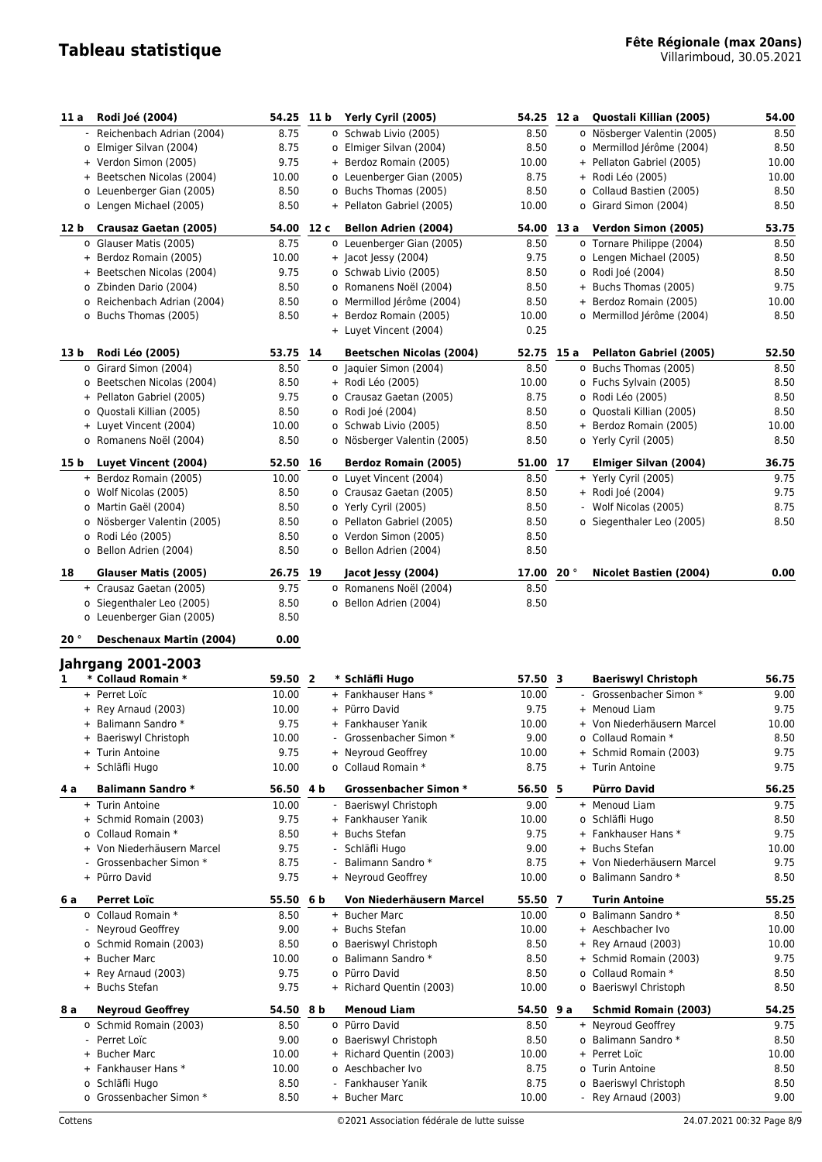| 11 a | Rodi Joé (2004)                                 | 54.25 11 b |    | Yerly Cyril (2005)              | 54.25      | 12 a | Quostali Killian (2005)       | 54.00 |
|------|-------------------------------------------------|------------|----|---------------------------------|------------|------|-------------------------------|-------|
|      | - Reichenbach Adrian (2004)                     | 8.75       |    | o Schwab Livio (2005)           | 8.50       |      | o Nösberger Valentin (2005)   | 8.50  |
|      | o Elmiger Silvan (2004)                         | 8.75       |    | o Elmiger Silvan (2004)         | 8.50       |      | o Mermillod Jérôme (2004)     | 8.50  |
|      | + Verdon Simon (2005)                           | 9.75       |    | + Berdoz Romain (2005)          | 10.00      |      | + Pellaton Gabriel (2005)     | 10.00 |
|      | + Beetschen Nicolas (2004)                      | 10.00      |    | o Leuenberger Gian (2005)       | 8.75       |      | + Rodi Léo (2005)             | 10.00 |
|      | o Leuenberger Gian (2005)                       | 8.50       |    | o Buchs Thomas (2005)           | 8.50       |      | o Collaud Bastien (2005)      | 8.50  |
|      | o Lengen Michael (2005)                         | 8.50       |    | + Pellaton Gabriel (2005)       | 10.00      |      | o Girard Simon (2004)         | 8.50  |
| 12 b | Crausaz Gaetan (2005)                           | 54.00 12 c |    | <b>Bellon Adrien (2004)</b>     | 54.00 13 a |      | Verdon Simon (2005)           | 53.75 |
|      | o Glauser Matis (2005)                          | 8.75       |    |                                 |            |      |                               |       |
|      |                                                 |            |    | o Leuenberger Gian (2005)       | 8.50       |      | o Tornare Philippe (2004)     | 8.50  |
|      | + Berdoz Romain (2005)                          | 10.00      |    | + Jacot Jessy (2004)            | 9.75       |      | o Lengen Michael (2005)       | 8.50  |
|      | + Beetschen Nicolas (2004)                      | 9.75       |    | o Schwab Livio (2005)           | 8.50       |      | o Rodi Joé (2004)             | 8.50  |
|      | o Zbinden Dario (2004)                          | 8.50       |    | o Romanens Noël (2004)          | 8.50       |      | + Buchs Thomas (2005)         | 9.75  |
|      | o Reichenbach Adrian (2004)                     | 8.50       |    | o Mermillod Jérôme (2004)       | 8.50       |      | + Berdoz Romain (2005)        | 10.00 |
|      | o Buchs Thomas (2005)                           | 8.50       |    | + Berdoz Romain (2005)          | 10.00      |      | o Mermillod Jérôme (2004)     | 8.50  |
|      |                                                 |            |    | + Luyet Vincent (2004)          | 0.25       |      |                               |       |
| 13 b | Rodi Léo (2005)                                 | 53.75 14   |    | <b>Beetschen Nicolas (2004)</b> | 52.75      | 15 a | Pellaton Gabriel (2005)       | 52.50 |
|      | o Girard Simon (2004)                           | 8.50       |    | o Jaquier Simon (2004)          | 8.50       |      | o Buchs Thomas (2005)         | 8.50  |
|      | o Beetschen Nicolas (2004)                      | 8.50       |    | + Rodi Léo (2005)               | 10.00      |      | o Fuchs Sylvain (2005)        | 8.50  |
|      | + Pellaton Gabriel (2005)                       | 9.75       |    | o Crausaz Gaetan (2005)         | 8.75       |      | o Rodi Léo (2005)             | 8.50  |
|      | o Quostali Killian (2005)                       | 8.50       |    | o Rodi Joé (2004)               | 8.50       |      | o Quostali Killian (2005)     | 8.50  |
|      | + Luyet Vincent (2004)                          | 10.00      |    | o Schwab Livio (2005)           | 8.50       |      | + Berdoz Romain (2005)        | 10.00 |
|      | o Romanens Noël (2004)                          | 8.50       |    | o Nösberger Valentin (2005)     | 8.50       |      | o Yerly Cyril (2005)          | 8.50  |
| 15 b | Luyet Vincent (2004)                            | 52.50      | 16 | <b>Berdoz Romain (2005)</b>     | 51.00      | 17   | <b>Elmiger Silvan (2004)</b>  | 36.75 |
|      | + Berdoz Romain (2005)                          | 10.00      |    | o Luyet Vincent (2004)          | 8.50       |      | + Yerly Cyril (2005)          | 9.75  |
|      | o Wolf Nicolas (2005)                           | 8.50       |    | o Crausaz Gaetan (2005)         | 8.50       |      | + Rodi Joé (2004)             | 9.75  |
|      | o Martin Gaël (2004)                            | 8.50       |    | o Yerly Cyril (2005)            | 8.50       |      | - Wolf Nicolas (2005)         | 8.75  |
|      | o Nösberger Valentin (2005)                     | 8.50       |    | o Pellaton Gabriel (2005)       | 8.50       |      | o Siegenthaler Leo (2005)     | 8.50  |
|      | o Rodi Léo (2005)                               | 8.50       |    | o Verdon Simon (2005)           | 8.50       |      |                               |       |
|      | o Bellon Adrien (2004)                          | 8.50       |    | o Bellon Adrien (2004)          | 8.50       |      |                               |       |
|      |                                                 |            |    |                                 |            |      |                               |       |
| 18   | Glauser Matis (2005)                            | 26.75 19   |    | Jacot Jessy (2004)              | 17.00      | 20°  | <b>Nicolet Bastien (2004)</b> | 0.00  |
|      | + Crausaz Gaetan (2005)                         | 9.75       |    | o Romanens Noël (2004)          | 8.50       |      |                               |       |
|      | o Siegenthaler Leo (2005)                       | 8.50       |    | o Bellon Adrien (2004)          | 8.50       |      |                               |       |
|      |                                                 |            |    |                                 |            |      |                               |       |
|      | o Leuenberger Gian (2005)                       | 8.50       |    |                                 |            |      |                               |       |
| 20°  | <b>Deschenaux Martin (2004)</b>                 | 0.00       |    |                                 |            |      |                               |       |
|      |                                                 |            |    |                                 |            |      |                               |       |
| 1    | <b>Jahrgang 2001-2003</b><br>* Collaud Romain * | 59.50 2    |    | * Schläfli Hugo                 | 57.50 3    |      | <b>Baeriswyl Christoph</b>    | 56.75 |
|      | + Perret Loïc                                   | 10.00      |    | + Fankhauser Hans *             | 10.00      |      | - Grossenbacher Simon *       | 9.00  |
|      |                                                 | 10.00      |    | + Pürro David                   | 9.75       |      | + Menoud Liam                 | 9.75  |
|      | + Rey Arnaud (2003)                             |            |    | + Fankhauser Yanik              |            |      |                               |       |
|      | + Balimann Sandro *                             | 9.75       |    |                                 | 10.00      |      | + Von Niederhäusern Marcel    | 10.00 |
|      | + Baeriswyl Christoph                           | 10.00      |    | - Grossenbacher Simon *         | 9.00       |      | o Collaud Romain *            | 8.50  |
|      | + Turin Antoine                                 | 9.75       |    | + Neyroud Geoffrey              | 10.00      |      | + Schmid Romain (2003)        | 9.75  |
|      | + Schläfli Hugo                                 | 10.00      |    | o Collaud Romain *              | 8.75       |      | + Turin Antoine               | 9.75  |
| 4 a  | <b>Balimann Sandro *</b>                        | 56.50 4 b  |    | <b>Grossenbacher Simon *</b>    | 56.50 5    |      | <b>Pürro David</b>            | 56.25 |
|      | + Turin Antoine                                 | 10.00      |    | Baeriswyl Christoph             | 9.00       |      | + Menoud Liam                 | 9.75  |
|      | + Schmid Romain (2003)                          | 9.75       |    | + Fankhauser Yanik              | 10.00      |      | o Schläfli Hugo               | 8.50  |
|      | o Collaud Romain *                              | 8.50       |    | + Buchs Stefan                  | 9.75       |      | + Fankhauser Hans *           | 9.75  |
|      | + Von Niederhäusern Marcel                      | 9.75       |    | - Schläfli Hugo                 | 9.00       |      | + Buchs Stefan                | 10.00 |
|      | - Grossenbacher Simon *                         | 8.75       |    | Balimann Sandro *               | 8.75       |      | + Von Niederhäusern Marcel    | 9.75  |
|      | + Pürro David                                   | 9.75       |    | + Neyroud Geoffrey              | 10.00      |      | o Balimann Sandro *           | 8.50  |
| 6а   | <b>Perret Loïc</b>                              | 55.50 6 b  |    | Von Niederhäusern Marcel        | 55.50 7    |      | <b>Turin Antoine</b>          | 55.25 |
|      | o Collaud Romain *                              | 8.50       |    | + Bucher Marc                   | 10.00      |      | o Balimann Sandro *           | 8.50  |
|      | - Neyroud Geoffrey                              | 9.00       |    | + Buchs Stefan                  | 10.00      |      | + Aeschbacher Ivo             | 10.00 |
|      | o Schmid Romain (2003)                          | 8.50       |    | o Baeriswyl Christoph           | 8.50       |      | + Rey Arnaud (2003)           | 10.00 |
|      | + Bucher Marc                                   | 10.00      |    | o Balimann Sandro *             | 8.50       |      | + Schmid Romain (2003)        | 9.75  |
|      | + Rey Arnaud (2003)                             | 9.75       |    | o Pürro David                   | 8.50       |      | o Collaud Romain *            | 8.50  |
|      | + Buchs Stefan                                  | 9.75       |    | + Richard Quentin (2003)        | 10.00      |      | o Baeriswyl Christoph         | 8.50  |
| 8 a  | <b>Neyroud Geoffrey</b>                         | 54.50 8 b  |    | <b>Menoud Liam</b>              | 54.50 9 a  |      | <b>Schmid Romain (2003)</b>   | 54.25 |
|      | o Schmid Romain (2003)                          | 8.50       |    | o Pürro David                   | 8.50       |      | + Neyroud Geoffrey            | 9.75  |
|      | - Perret Loïc                                   | 9.00       |    | o Baeriswyl Christoph           | 8.50       |      | o Balimann Sandro *           | 8.50  |
|      | + Bucher Marc                                   | 10.00      |    | + Richard Quentin (2003)        | 10.00      |      | + Perret Loïc                 | 10.00 |
|      | + Fankhauser Hans *                             | 10.00      |    | o Aeschbacher Ivo               | 8.75       |      | o Turin Antoine               | 8.50  |
|      | o Schläfli Hugo                                 | 8.50       |    | Fankhauser Yanik                | 8.75       |      | o Baeriswyl Christoph         | 8.50  |